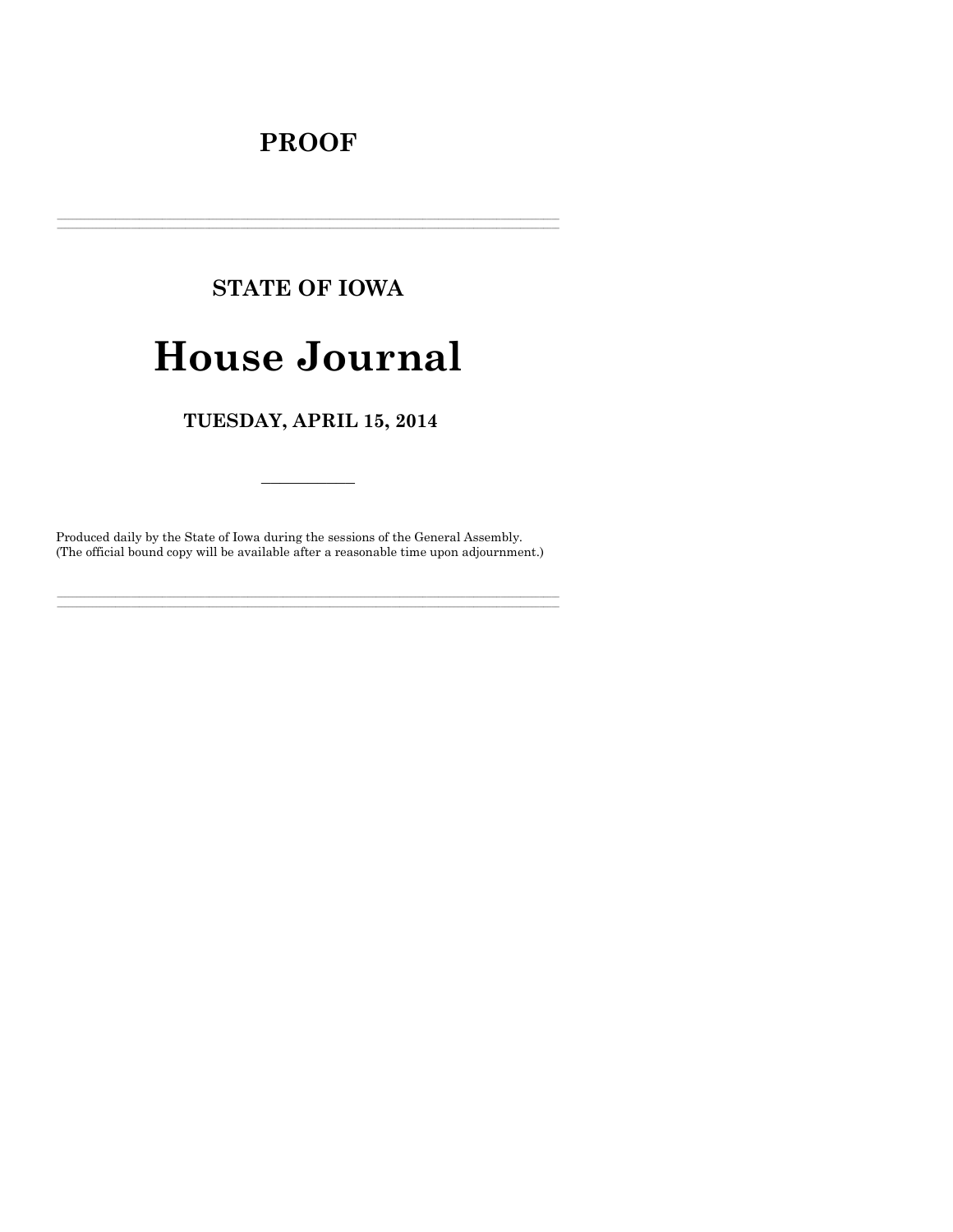# **PROOF**

# **STATE OF IOWA**

# **House Journal**

TUESDAY, APRIL 15, 2014

Produced daily by the State of Iowa during the sessions of the General Assembly. (The official bound copy will be available after a reasonable time upon adjournment.)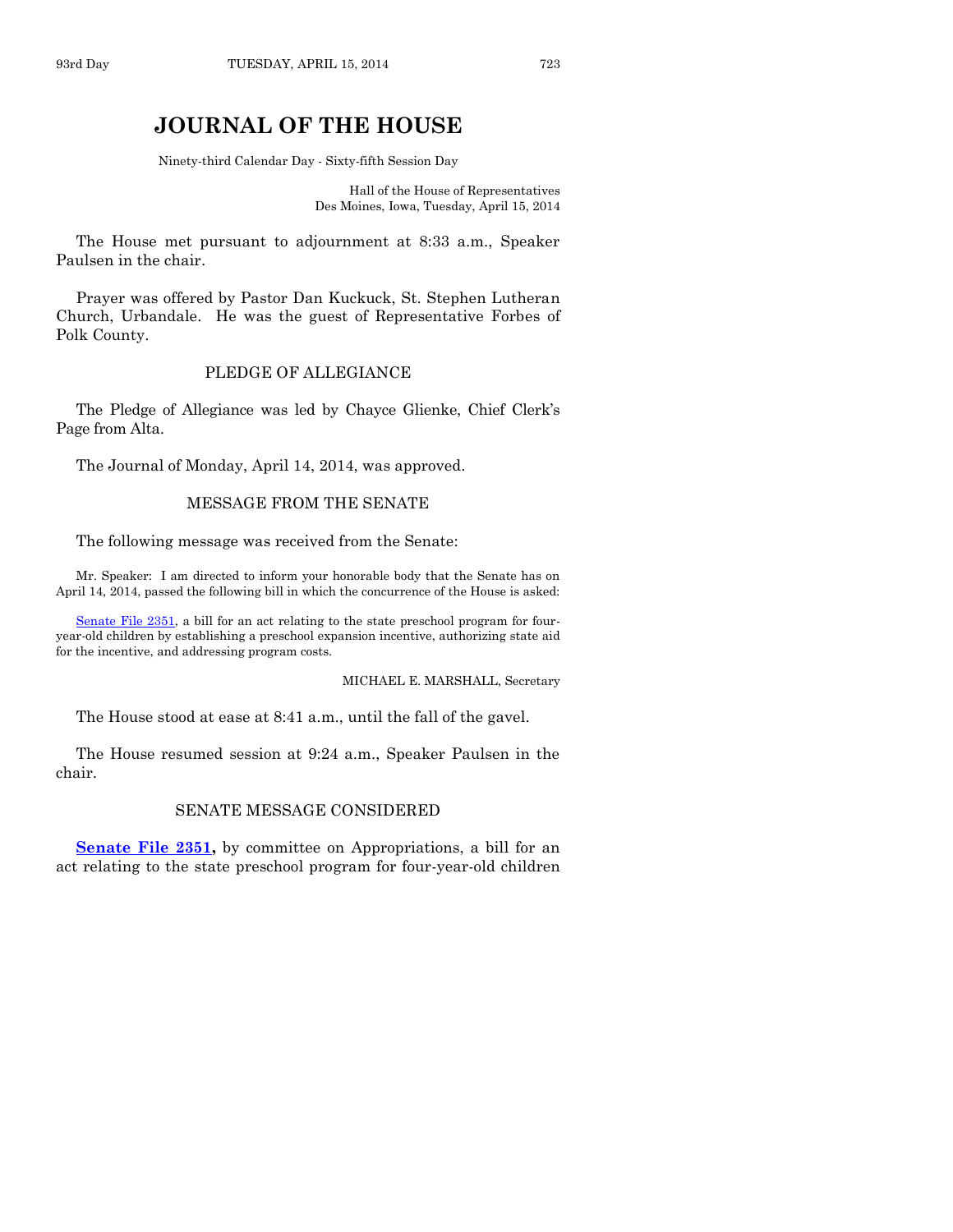# **JOURNAL OF THE HOUSE**

Ninety-third Calendar Day - Sixty-fifth Session Day

Hall of the House of Representatives Des Moines, Iowa, Tuesday, April 15, 2014

The House met pursuant to adjournment at 8:33 a.m., Speaker Paulsen in the chair.

Prayer was offered by Pastor Dan Kuckuck, St. Stephen Lutheran Church, Urbandale. He was the guest of Representative Forbes of Polk County.

# PLEDGE OF ALLEGIANCE

The Pledge of Allegiance was led by Chayce Glienke, Chief Clerk's Page from Alta.

The Journal of Monday, April 14, 2014, was approved.

### MESSAGE FROM THE SENATE

The following message was received from the Senate:

Mr. Speaker: I am directed to inform your honorable body that the Senate has on April 14, 2014, passed the following bill in which the concurrence of the House is asked:

[Senate File 2351,](http://coolice.legis.iowa.gov/Cool-ICE/default.asp?Category=billinfo&Service=Billbook&frame=1&GA=85&hbill=SF2351) a bill for an act relating to the state preschool program for fouryear-old children by establishing a preschool expansion incentive, authorizing state aid for the incentive, and addressing program costs.

#### MICHAEL E. MARSHALL, Secretary

The House stood at ease at 8:41 a.m., until the fall of the gavel.

The House resumed session at 9:24 a.m., Speaker Paulsen in the chair.

### SENATE MESSAGE CONSIDERED

**[Senate File 2351,](http://coolice.legis.iowa.gov/Cool-ICE/default.asp?Category=billinfo&Service=Billbook&frame=1&GA=85&hbill=SF2351)** by committee on Appropriations, a bill for an act relating to the state preschool program for four-year-old children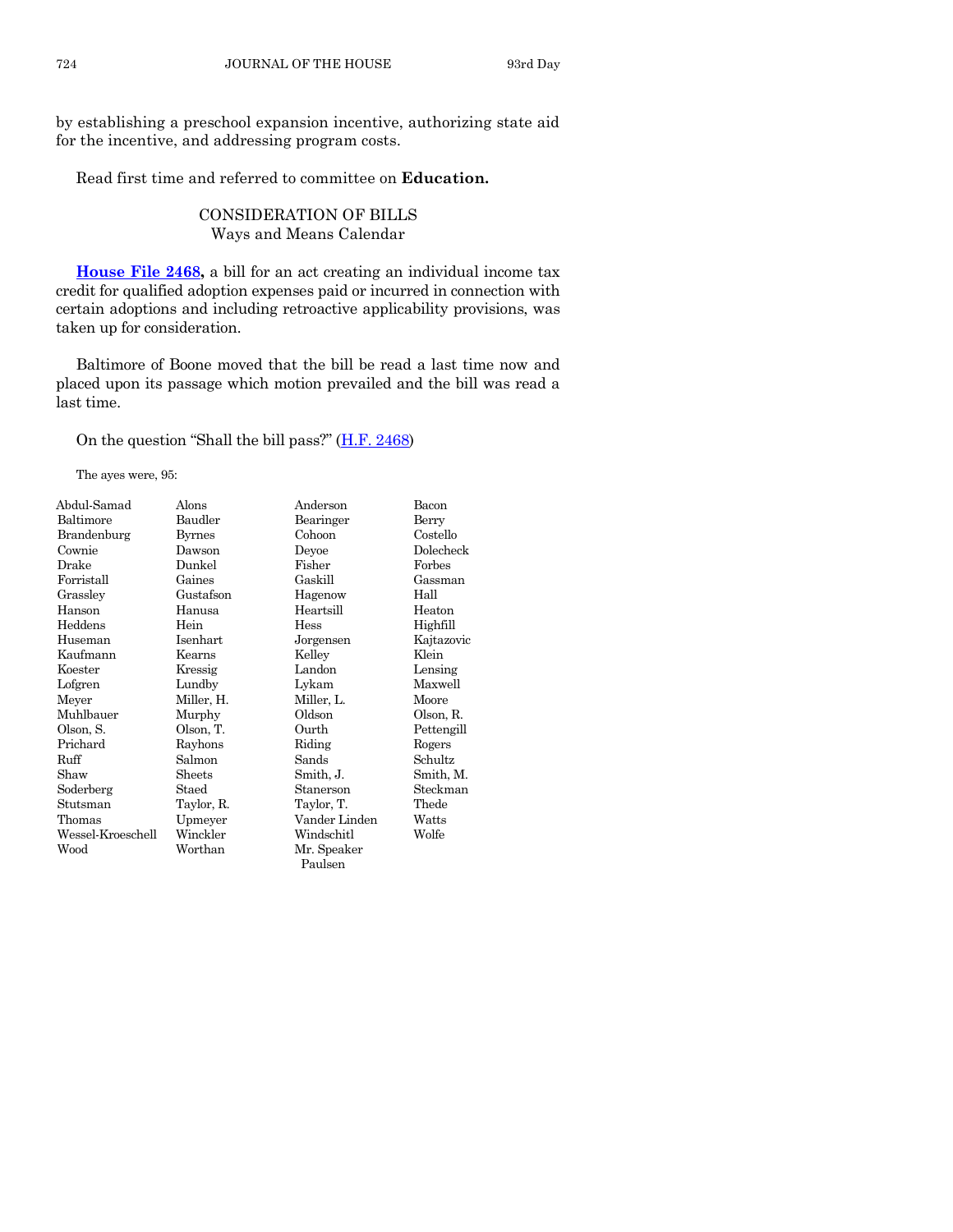by establishing a preschool expansion incentive, authorizing state aid for the incentive, and addressing program costs.

Read first time and referred to committee on **Education.**

CONSIDERATION OF BILLS Ways and Means Calendar

**[House File 2468,](http://coolice.legis.iowa.gov/Cool-ICE/default.asp?Category=billinfo&Service=Billbook&frame=1&GA=85&hbill=HF2468)** a bill for an act creating an individual income tax credit for qualified adoption expenses paid or incurred in connection with certain adoptions and including retroactive applicability provisions, was taken up for consideration.

Baltimore of Boone moved that the bill be read a last time now and placed upon its passage which motion prevailed and the bill was read a last time.

On the question "Shall the bill pass?" ([H.F. 2468\)](http://coolice.legis.iowa.gov/Cool-ICE/default.asp?Category=billinfo&Service=Billbook&frame=1&GA=85&hbill=HF2468)

The ayes were, 95:

| Abdul-Samad       | Alons         | Anderson      | Bacon      |
|-------------------|---------------|---------------|------------|
| Baltimore         | Baudler       | Bearinger     | Berry      |
| Brandenburg       | <b>Byrnes</b> | Cohoon        | Costello   |
| Cownie            | Dawson        | Deyoe         | Dolecheck  |
| Drake             | Dunkel        | Fisher        | Forbes     |
| Forristall        | Gaines        | Gaskill       | Gassman    |
| Grassley          | Gustafson     | Hagenow       | Hall       |
| Hanson            | Hanusa        | Heartsill     | Heaton     |
| Heddens           | Hein          | Hess          | Highfill   |
| Huseman           | Isenhart      | Jorgensen     | Kajtazovic |
| Kaufmann          | Kearns        | Kelley        | Klein      |
| Koester           | Kressig       | Landon        | Lensing    |
| Lofgren           | Lundby        | Lykam         | Maxwell    |
| Meyer             | Miller, H.    | Miller, L.    | Moore      |
| Muhlbauer         | Murphy        | Oldson        | Olson, R.  |
| Olson, S.         | Olson, T.     | Ourth         | Pettengill |
| Prichard          | Rayhons       | Riding        | Rogers     |
| Ruff              | Salmon        | Sands         | Schultz    |
| Shaw              | Sheets        | Smith, J.     | Smith, M.  |
| Soderberg         | Staed         | Stanerson     | Steckman   |
| Stutsman          | Taylor, R.    | Taylor, T.    | Thede      |
| Thomas            | Upmeyer       | Vander Linden | Watts      |
| Wessel-Kroeschell | Winckler      | Windschitl    | Wolfe      |
| Wood              | Worthan       | Mr. Speaker   |            |
|                   |               | Paulsen       |            |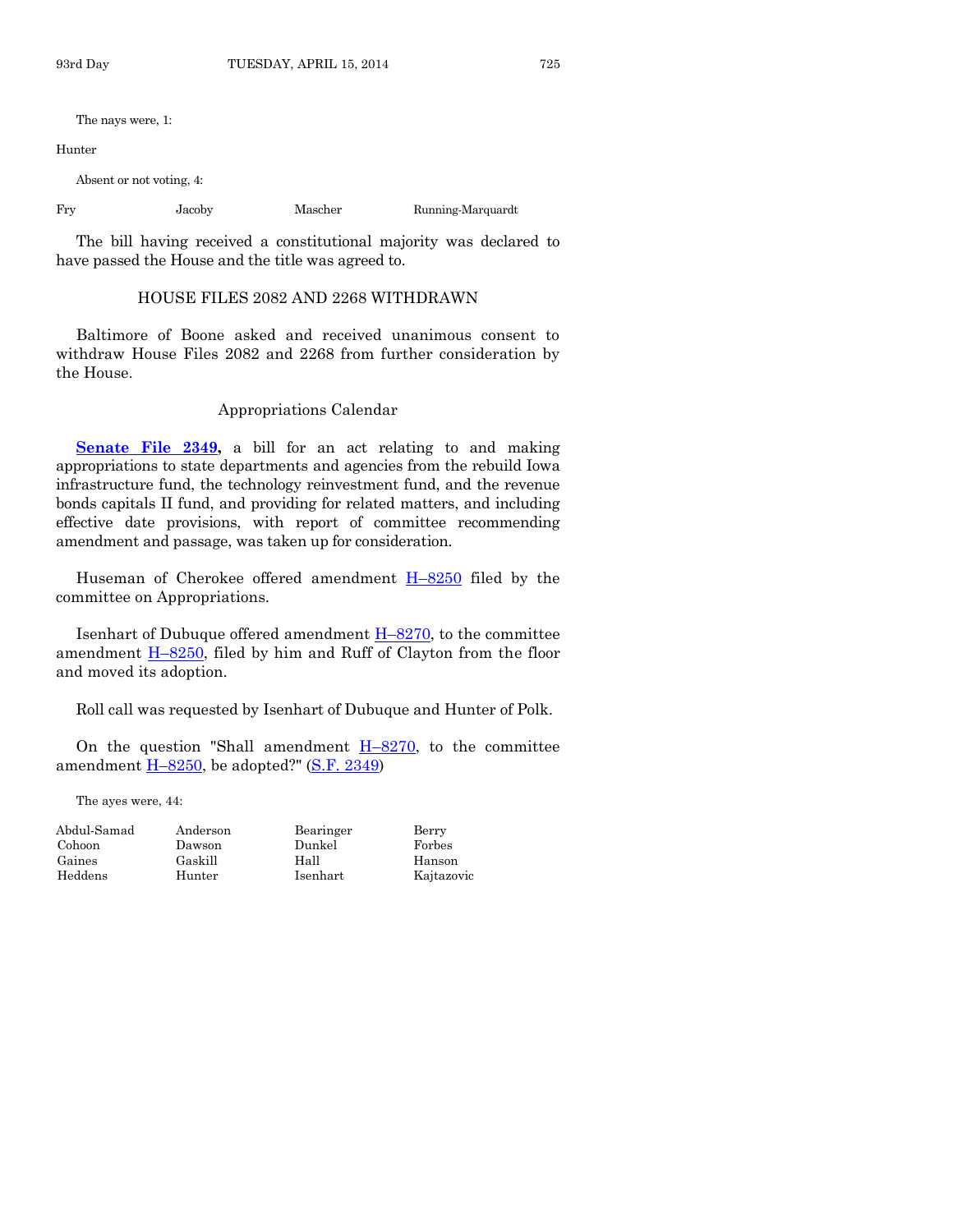The nays were, 1:

#### Hunter

Absent or not voting, 4:

Fry Jacoby Mascher Running-Marquardt

The bill having received a constitutional majority was declared to have passed the House and the title was agreed to.

### HOUSE FILES 2082 AND 2268 WITHDRAWN

Baltimore of Boone asked and received unanimous consent to withdraw House Files 2082 and 2268 from further consideration by the House.

#### Appropriations Calendar

**[Senate File 2349,](http://coolice.legis.iowa.gov/Cool-ICE/default.asp?Category=billinfo&Service=Billbook&frame=1&GA=85&hbill=SF2349)** a bill for an act relating to and making appropriations to state departments and agencies from the rebuild Iowa infrastructure fund, the technology reinvestment fund, and the revenue bonds capitals II fund, and providing for related matters, and including effective date provisions, with report of committee recommending amendment and passage, was taken up for consideration.

Huseman of Cherokee offered amendment H–[8250](http://coolice.legis.iowa.gov/Cool-ICE/default.asp?Category=billinfo&Service=Billbook&frame=1&GA=85&hbill=H8250) filed by the committee on Appropriations.

Isenhart of Dubuque offered amendment  $H-8270$ , to the committee amendment H–[8250,](http://coolice.legis.iowa.gov/Cool-ICE/default.asp?Category=billinfo&Service=Billbook&frame=1&GA=85&hbill=H8250) filed by him and Ruff of Clayton from the floor and moved its adoption.

Roll call was requested by Isenhart of Dubuque and Hunter of Polk.

On the question "Shall amendment  $H-8270$ , to the committee amendment  $\underline{H-8250}$ , be adopted?" [\(S.F. 2349\)](http://coolice.legis.iowa.gov/Cool-ICE/default.asp?Category=billinfo&Service=Billbook&frame=1&GA=85&hbill=SF2349)

The ayes were, 44:

| Abdul-Samad | Anderson | Bearinger | Berry   |
|-------------|----------|-----------|---------|
| Cohoon      | Dawson   | Dunkel    | Forbes  |
| Gaines      | Gaskill  | Hall      | Hanson  |
| Heddens     | Hunter   | Isenhart  | Kajtazo |

d Anderson Bearinger Berry Dawson Dunkel Forbes

Heddens Hunter Isenhart Kajtazovic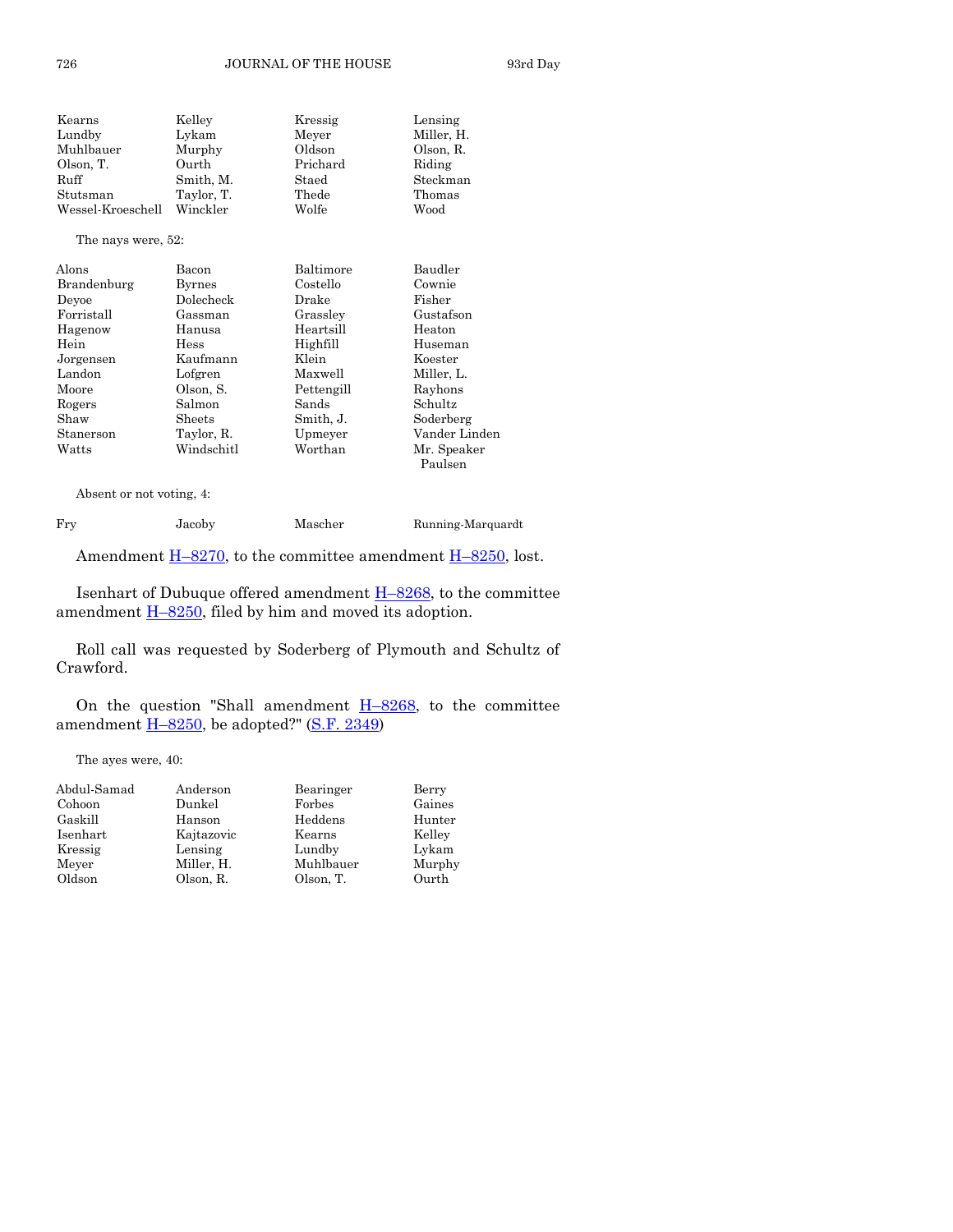| Kearns             | Kelley     | Kressig    | Lensing       |
|--------------------|------------|------------|---------------|
| Lundby             | Lykam      | Meyer      | Miller, H.    |
| Muhlbauer          | Murphy     | Oldson     | Olson, R.     |
| Olson, T.          | Ourth      | Prichard   | Riding        |
| Ruff               | Smith, M.  | Staed      | Steckman      |
| Stutsman           | Taylor, T. | Thede      | Thomas        |
| Wessel-Kroeschell  | Winckler   | Wolfe      | Wood          |
| The nays were, 52: |            |            |               |
| Alons              | Bacon      | Baltimore  | Baudler       |
| Brandenburg        | Byrnes     | Costello   | Cownie        |
| Deyoe              | Dolecheck  | Drake      | Fisher        |
| Forristall         | Gassman    | Grassley   | Gustafson     |
| Hagenow            | Hanusa     | Heartsill  | Heaton        |
| Hein               | Hess       | Highfill   | Huseman       |
| Jorgensen          | Kaufmann   | Klein      | Koester       |
| Landon             | Lofgren    | Maxwell    | Miller, L.    |
| Moore              | Olson, S.  | Pettengill | Rayhons       |
| Rogers             | Salmon     | Sands      | Schultz       |
| Shaw               | Sheets     | Smith, J.  | Soderberg     |
| Stanerson          | Taylor, R. | Upmeyer    | Vander Linden |
| Watts              | Windschitl | Worthan    | Mr. Speaker   |
|                    |            |            | Paulsen       |
|                    |            |            |               |

Absent or not voting, 4:

Fry Jacoby Mascher Running-Marquardt

Amendment  $\underline{H-8270}$ , to the committee amendment  $\underline{H-8250}$ , lost.

Isenhart of Dubuque offered amendment H–[8268,](http://coolice.legis.iowa.gov/Cool-ICE/default.asp?Category=billinfo&Service=Billbook&frame=1&GA=85&hbill=H8268) to the committee amendment  $\underline{H-8250}$ , filed by him and moved its adoption.

Roll call was requested by Soderberg of Plymouth and Schultz of Crawford.

On the question "Shall amendment  $H-8268$ , to the committee amendment  $\underline{H-8250}$ , be adopted?" [\(S.F. 2349\)](http://coolice.legis.iowa.gov/Cool-ICE/default.asp?Category=billinfo&Service=Billbook&frame=1&GA=85&hbill=SF2349)

The ayes were, 40:

| Abdul-Samad | Anderson   | Bearinger | Berry  |
|-------------|------------|-----------|--------|
| Cohoon      | Dunkel     | Forbes    | Gaines |
| Gaskill     | Hanson     | Heddens   | Hunter |
| Isenhart    | Kajtazovic | Kearns    | Kelley |
| Kressig     | Lensing    | Lundby    | Lykam  |
| Meyer       | Miller, H. | Muhlbauer | Murphy |
| Oldson      | Olson, R.  | Olson, T. | Ourth  |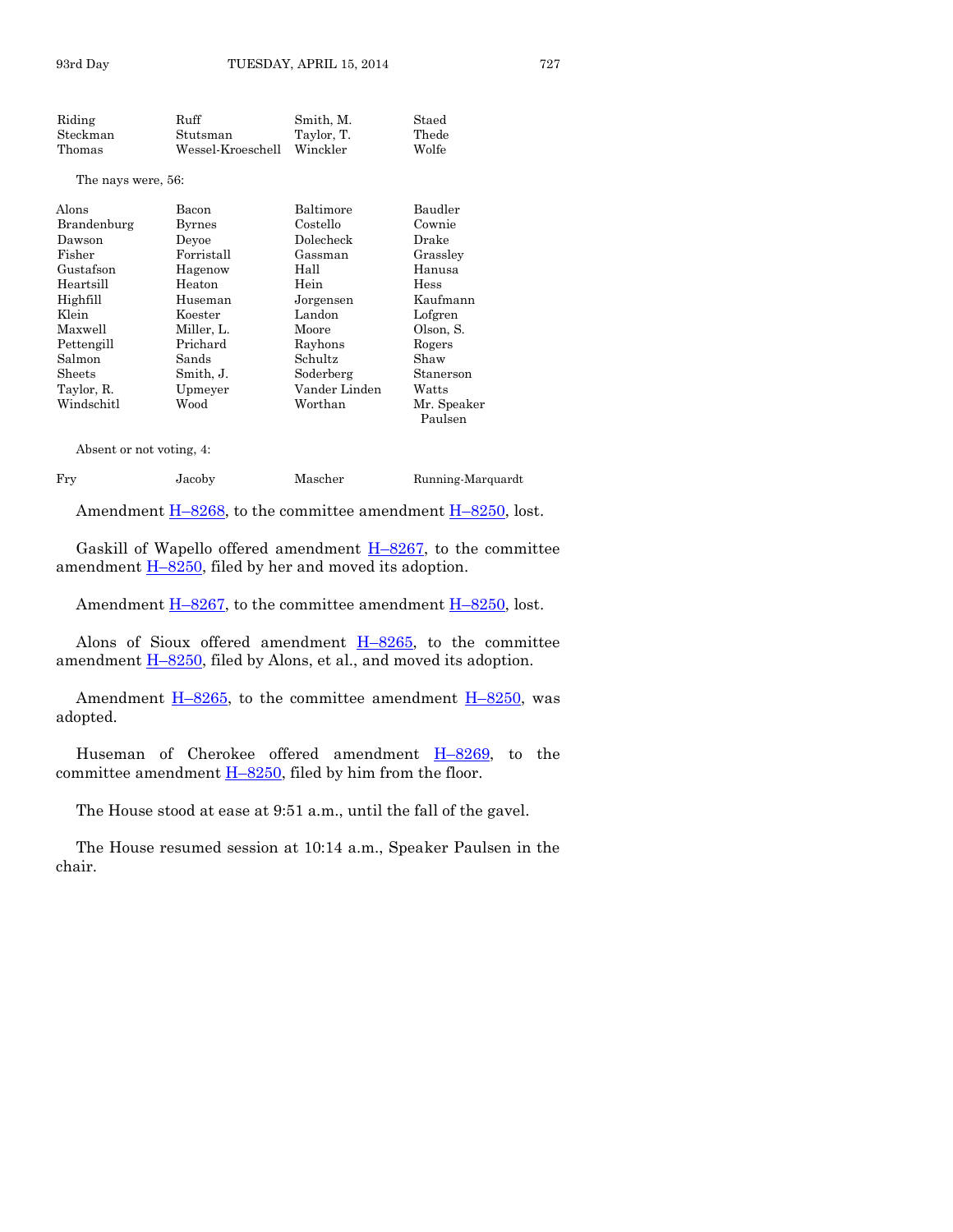The nays were, 56:

| Alons                    | Bacon         | Baltimore     | Baudler                |
|--------------------------|---------------|---------------|------------------------|
| Brandenburg              | <b>Byrnes</b> | Costello      | Cownie                 |
| Dawson                   | Devoe         | Dolecheck     | Drake                  |
| Fisher                   | Forristall    | Gassman       | Grassley               |
| Gustafson                | Hagenow       | Hall          | Hanusa                 |
| Heartsill                | Heaton        | Hein          | Hess                   |
| Highfill                 | Huseman       | Jorgensen     | Kaufmann               |
| Klein                    | Koester       | Landon        | Lofgren                |
| Maxwell                  | Miller, L.    | Moore         | Olson, S.              |
| Pettengill               | Prichard      | Rayhons       | Rogers                 |
| Salmon                   | Sands         | Schultz       | Shaw                   |
| Sheets                   | Smith, J.     | Soderberg     | Stanerson              |
| Taylor, R.               | Upmeyer       | Vander Linden | Watts                  |
| Windschitl               | Wood          | Worthan       | Mr. Speaker<br>Paulsen |
| Absent or not voting, 4: |               |               |                        |

Amendment  $\underline{H-8268}$ , to the committee amendment  $\underline{H-8250}$ , lost.

Gaskill of Wapello offered amendment  $H-8267$ , to the committee amendment  $\underline{H-8250}$ , filed by her and moved its adoption.

Amendment  $\underline{H-8267}$ , to the committee amendment  $\underline{H-8250}$ , lost.

Alons of Sioux offered amendment  $H-8265$ , to the committee amendment  $H-8250$ , filed by Alons, et al., and moved its adoption.

Amendment  $\underline{H-8265}$ , to the committee amendment  $\underline{H-8250}$ , was adopted.

Huseman of Cherokee offered amendment H–[8269,](http://coolice.legis.iowa.gov/Cool-ICE/default.asp?Category=billinfo&Service=Billbook&frame=1&GA=85&hbill=H8269) to the committee amendment  $H-8250$ , filed by him from the floor.

The House stood at ease at 9:51 a.m., until the fall of the gavel.

The House resumed session at 10:14 a.m., Speaker Paulsen in the chair.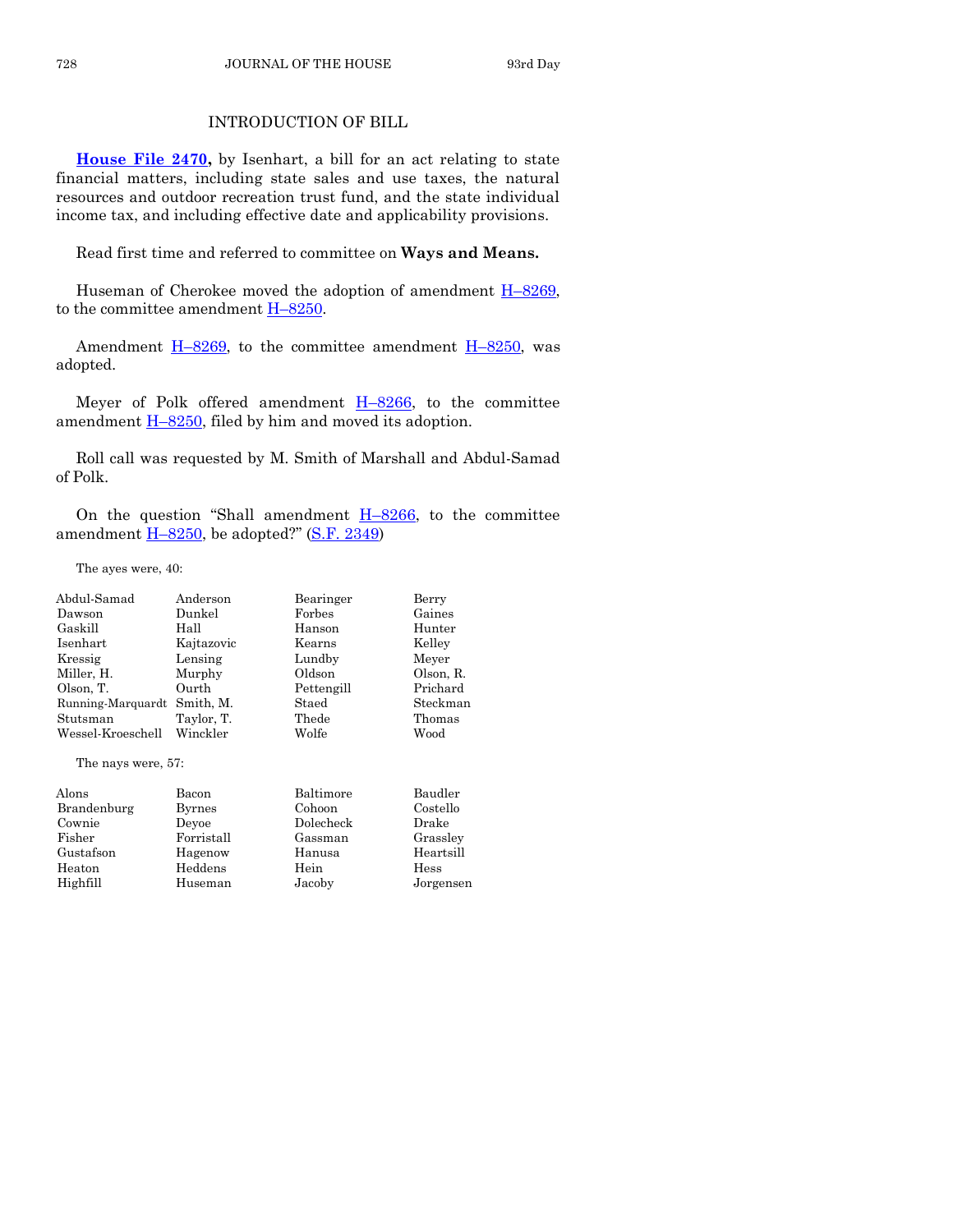# INTRODUCTION OF BILL

**[House File 2470,](http://coolice.legis.iowa.gov/Cool-ICE/default.asp?Category=billinfo&Service=Billbook&frame=1&GA=85&hbill=HF2470)** by Isenhart, a bill for an act relating to state financial matters, including state sales and use taxes, the natural resources and outdoor recreation trust fund, and the state individual income tax, and including effective date and applicability provisions.

Read first time and referred to committee on **Ways and Means.**

Huseman of Cherokee moved the adoption of amendment  $H-8269$ , to the committee amendment H–[8250.](http://coolice.legis.iowa.gov/Cool-ICE/default.asp?Category=billinfo&Service=Billbook&frame=1&GA=85&hbill=H8250)

Amendment  $H-8269$ , to the committee amendment  $H-8250$ , was adopted.

Meyer of Polk offered amendment  $H-8266$ , to the committee amendment  $\underline{H-8250}$ , filed by him and moved its adoption.

Roll call was requested by M. Smith of Marshall and Abdul-Samad of Polk.

On the question "Shall amendment  $H-8266$ , to the committee amendment  $\underline{H-8250}$ , be adopted?" [\(S.F. 2349\)](http://coolice.legis.iowa.gov/Cool-ICE/default.asp?Category=billinfo&Service=Billbook&frame=1&GA=85&hbill=SF2349)

The ayes were, 40:

| Anderson                       | Bearinger  | Berry     |
|--------------------------------|------------|-----------|
| Dunkel                         | Forbes     | Gaines    |
| Hall                           | Hanson     | Hunter    |
| Kajtazovic                     | Kearns     | Kelley    |
| Lensing                        | Lundby     | Meyer     |
| Murphy                         | Oldson     | Olson, R. |
| Ourth                          | Pettengill | Prichard  |
| Smith. M.<br>Running-Marquardt | Staed      | Steckman  |
| Taylor, T.                     | Thede      | Thomas    |
| Wessel-Kroeschell Winckler     | Wolfe      | Wood      |
|                                |            |           |

The nays were, 57:

| Alons       | Bacon         | Baltimore | Baudler   |
|-------------|---------------|-----------|-----------|
| Brandenburg | <b>Byrnes</b> | Cohoon    | Costello  |
| Cownie      | Devoe         | Dolecheck | Drake     |
| Fisher      | Forristall    | Gassman   | Grassley  |
| Gustafson   | Hagenow       | Hanusa    | Heartsill |
| Heaton      | Heddens       | Hein      | Hess      |
| Highfill    | Huseman       | Jacoby    | Jorgensen |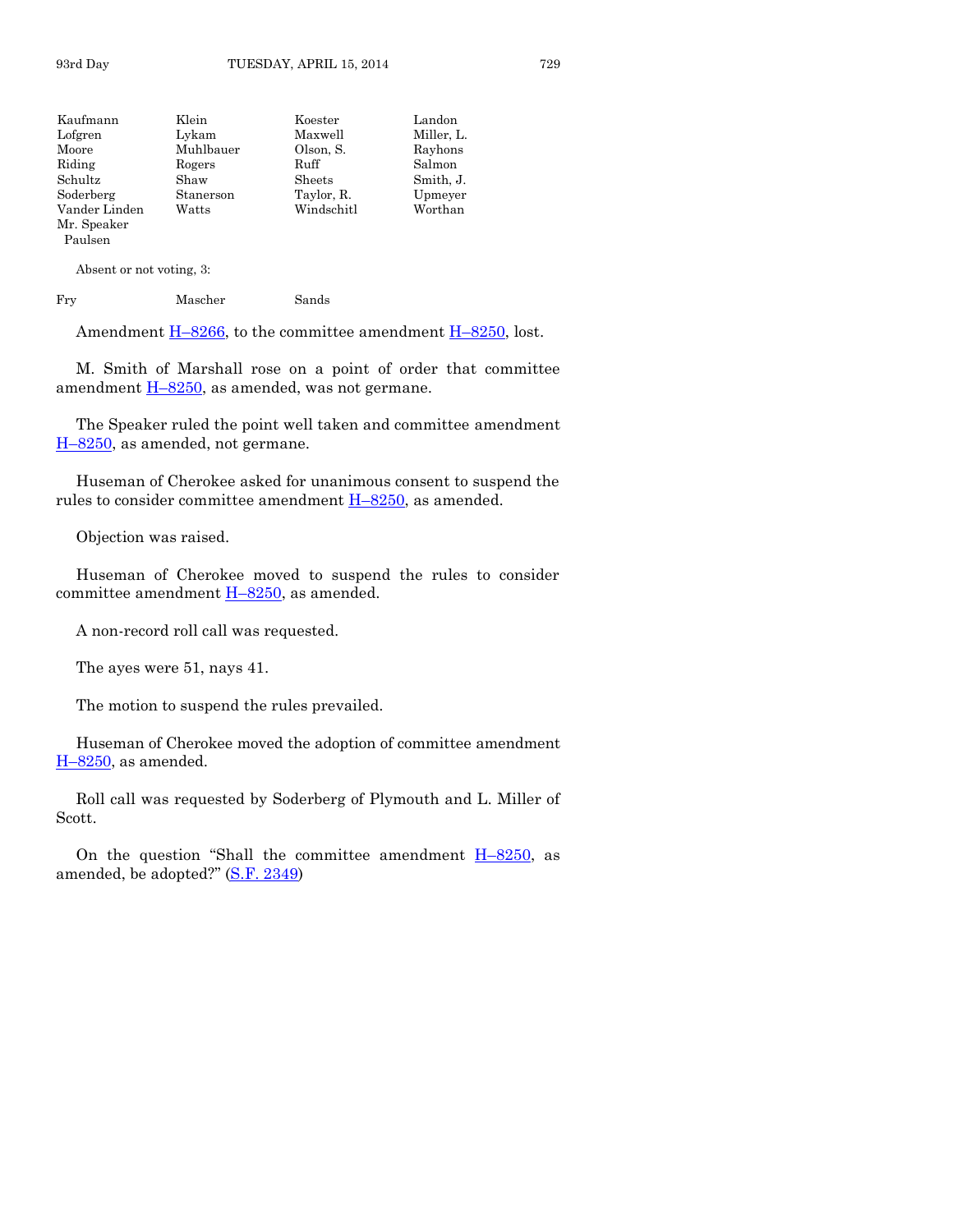| Kaufmann      | Klein     | Koester       | Landon     |
|---------------|-----------|---------------|------------|
| Lofgren       | Lykam     | Maxwell       | Miller, L. |
| Moore         | Muhlbauer | Olson, S.     | Rayhons    |
| Riding        | Rogers    | Ruff          | Salmon     |
| Schultz       | Shaw      | <b>Sheets</b> | Smith, J.  |
| Soderberg     | Stanerson | Taylor, R.    | Upmeyer    |
| Vander Linden | Watts     | Windschitl    | Worthan    |
| Mr. Speaker   |           |               |            |
| Paulsen       |           |               |            |

Absent or not voting, 3:

Fry Mascher Sands

Amendment  $\underline{H-8266}$ , to the committee amendment  $\underline{H-8250}$ , lost.

M. Smith of Marshall rose on a point of order that committee amendment  $H-8250$ , as amended, was not germane.

The Speaker ruled the point well taken and committee amendment H–[8250,](http://coolice.legis.iowa.gov/Cool-ICE/default.asp?Category=billinfo&Service=Billbook&frame=1&GA=85&hbill=H8250) as amended, not germane.

Huseman of Cherokee asked for unanimous consent to suspend the rules to consider committee amendment H–[8250,](http://coolice.legis.iowa.gov/Cool-ICE/default.asp?Category=billinfo&Service=Billbook&frame=1&GA=85&hbill=H8250) as amended.

Objection was raised.

Huseman of Cherokee moved to suspend the rules to consider committee amendment  $H-8250$ , as amended.

A non-record roll call was requested.

The ayes were 51, nays 41.

The motion to suspend the rules prevailed.

Huseman of Cherokee moved the adoption of committee amendment H–[8250,](http://coolice.legis.iowa.gov/Cool-ICE/default.asp?Category=billinfo&Service=Billbook&frame=1&GA=85&hbill=H8250) as amended.

Roll call was requested by Soderberg of Plymouth and L. Miller of Scott.

On the question "Shall the committee amendment  $H-8250$ , as amended, be adopted?" [\(S.F. 2349\)](http://coolice.legis.iowa.gov/Cool-ICE/default.asp?Category=billinfo&Service=Billbook&frame=1&GA=85&hbill=SF2349)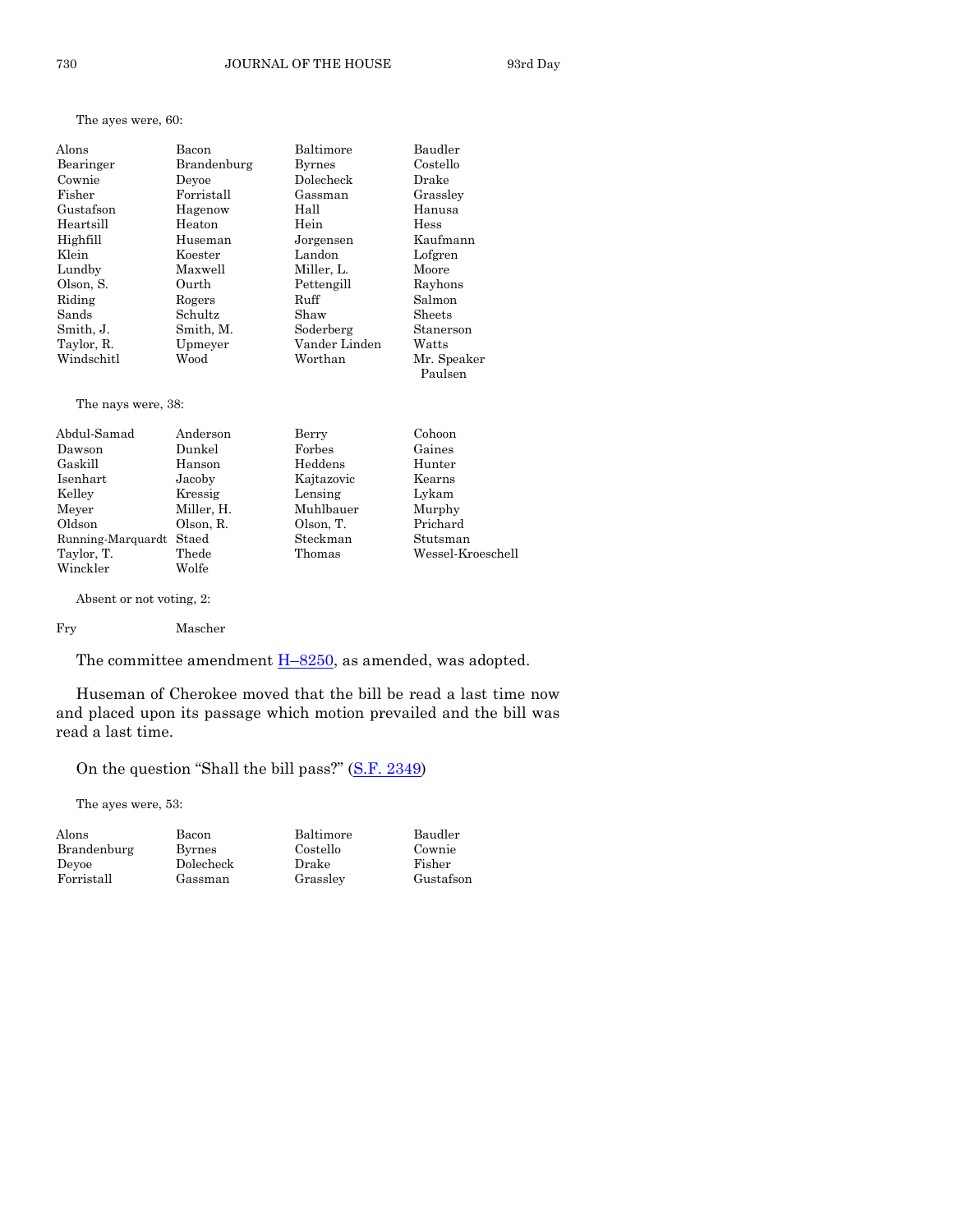# The ayes were, 60:

| Alons      | Bacon       | Baltimore     | Baudler                |
|------------|-------------|---------------|------------------------|
| Bearinger  | Brandenburg | <b>Byrnes</b> | Costello               |
| Cownie     | Devoe       | Dolecheck     | Drake                  |
| Fisher     | Forristall  | Gassman       | Grassley               |
| Gustafson  | Hagenow     | Hall          | Hanusa                 |
| Heartsill  | Heaton      | Hein          | Hess                   |
| Highfill   | Huseman     | Jorgensen     | Kaufmann               |
| Klein      | Koester     | Landon        | Lofgren                |
| Lundby     | Maxwell     | Miller, L.    | Moore                  |
| Olson, S.  | Ourth       | Pettengill    | Rayhons                |
| Riding     | Rogers      | Ruff          | Salmon                 |
| Sands      | Schultz     | Shaw          | <b>Sheets</b>          |
| Smith, J.  | Smith, M.   | Soderberg     | Stanerson              |
| Taylor, R. | Upmeyer     | Vander Linden | Watts                  |
| Windschitl | Wood        | Worthan       | Mr. Speaker<br>Paulsen |

The nays were, 38:

| Abdul-Samad       | Anderson   | Berry      | Cohoon            |
|-------------------|------------|------------|-------------------|
| Dawson            | Dunkel     | Forbes     | Gaines            |
| Gaskill           | Hanson     | Heddens    | Hunter            |
| Isenhart          | Jacoby     | Kajtazovic | Kearns            |
| Kelley            | Kressig    | Lensing    | Lykam             |
| Meyer             | Miller, H. | Muhlbauer  | Murphy            |
| Oldson            | Olson, R.  | Olson, T.  | Prichard          |
| Running-Marquardt | Staed      | Steckman   | Stutsman          |
| Taylor, T.        | Thede      | Thomas     | Wessel-Kroeschell |
| Winckler          | Wolfe      |            |                   |

Absent or not voting, 2:

#### Fry Mascher

The committee amendment  $H-8250$ , as amended, was adopted.

Huseman of Cherokee moved that the bill be read a last time now and placed upon its passage which motion prevailed and the bill was read a last time.

On the question "Shall the bill pass?" ([S.F. 2349\)](http://coolice.legis.iowa.gov/Cool-ICE/default.asp?Category=billinfo&Service=Billbook&frame=1&GA=85&hbill=SF2349)

The ayes were, 53:

| Alons       | Bacon     | Baltimore | Baudler   |
|-------------|-----------|-----------|-----------|
| Brandenburg | Byrnes    | Costello  | Cownie    |
| Devoe       | Dolecheck | Drake     | Fisher    |
| Forristall  | Gassman   | Grassley  | Gustafson |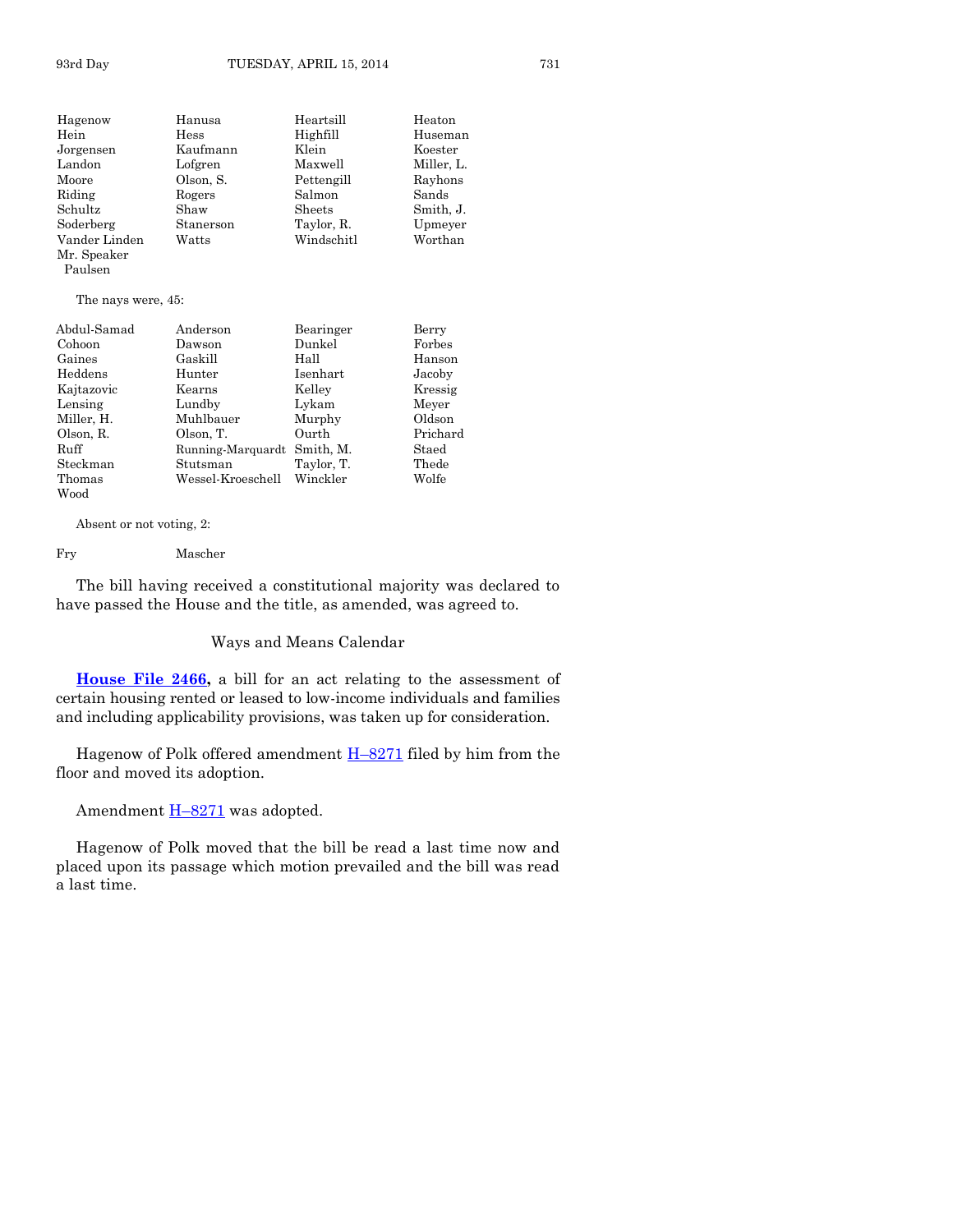Paulsen

| Hagenow       | Hanusa    | Heartsill  | Heaton     |
|---------------|-----------|------------|------------|
| Hein          | Hess      | Highfill   | Huseman    |
| Jorgensen     | Kaufmann  | Klein      | Koester    |
| Landon        | Lofgren   | Maxwell    | Miller, L. |
| Moore         | Olson, S. | Pettengill | Rayhons    |
| Riding        | Rogers    | Salmon     | Sands      |
| Schultz       | Shaw      | Sheets     | Smith, J.  |
| Soderberg     | Stanerson | Taylor, R. | Upmeyer    |
| Vander Linden | Watts     | Windschitl | Worthan    |
| Mr. Speaker   |           |            |            |

The nays were, 45:

| Abdul-Samad | Anderson          | Bearinger  | Berry    |
|-------------|-------------------|------------|----------|
| Cohoon      | Dawson            | Dunkel     | Forbes   |
| Gaines      | Gaskill           | Hall       | Hanson   |
| Heddens     | Hunter            | Isenhart   | Jacoby   |
| Kajtazovic  | Kearns            | Kelley     | Kressig  |
| Lensing     | Lundby            | Lykam      | Meyer    |
| Miller, H.  | Muhlbauer         | Murphy     | Oldson   |
| Olson, R.   | Olson, T.         | Ourth      | Prichard |
| Ruff        | Running-Marquardt | Smith. M.  | Staed    |
| Steckman    | Stutsman          | Taylor, T. | Thede    |
| Thomas      | Wessel-Kroeschell | Winckler   | Wolfe    |
| Wood        |                   |            |          |

Absent or not voting, 2:

Fry Mascher

The bill having received a constitutional majority was declared to have passed the House and the title, as amended, was agreed to.

Ways and Means Calendar

**[House File 2466,](http://coolice.legis.iowa.gov/Cool-ICE/default.asp?Category=billinfo&Service=Billbook&frame=1&GA=85&hbill=HF2466)** a bill for an act relating to the assessment of certain housing rented or leased to low-income individuals and families and including applicability provisions, was taken up for consideration.

Hagenow of Polk offered amendment H–[8271](http://coolice.legis.iowa.gov/Cool-ICE/default.asp?Category=billinfo&Service=Billbook&frame=1&GA=85&hbill=H8271) filed by him from the floor and moved its adoption.

Amendment  $H-8271$  $H-8271$  was adopted.

Hagenow of Polk moved that the bill be read a last time now and placed upon its passage which motion prevailed and the bill was read a last time.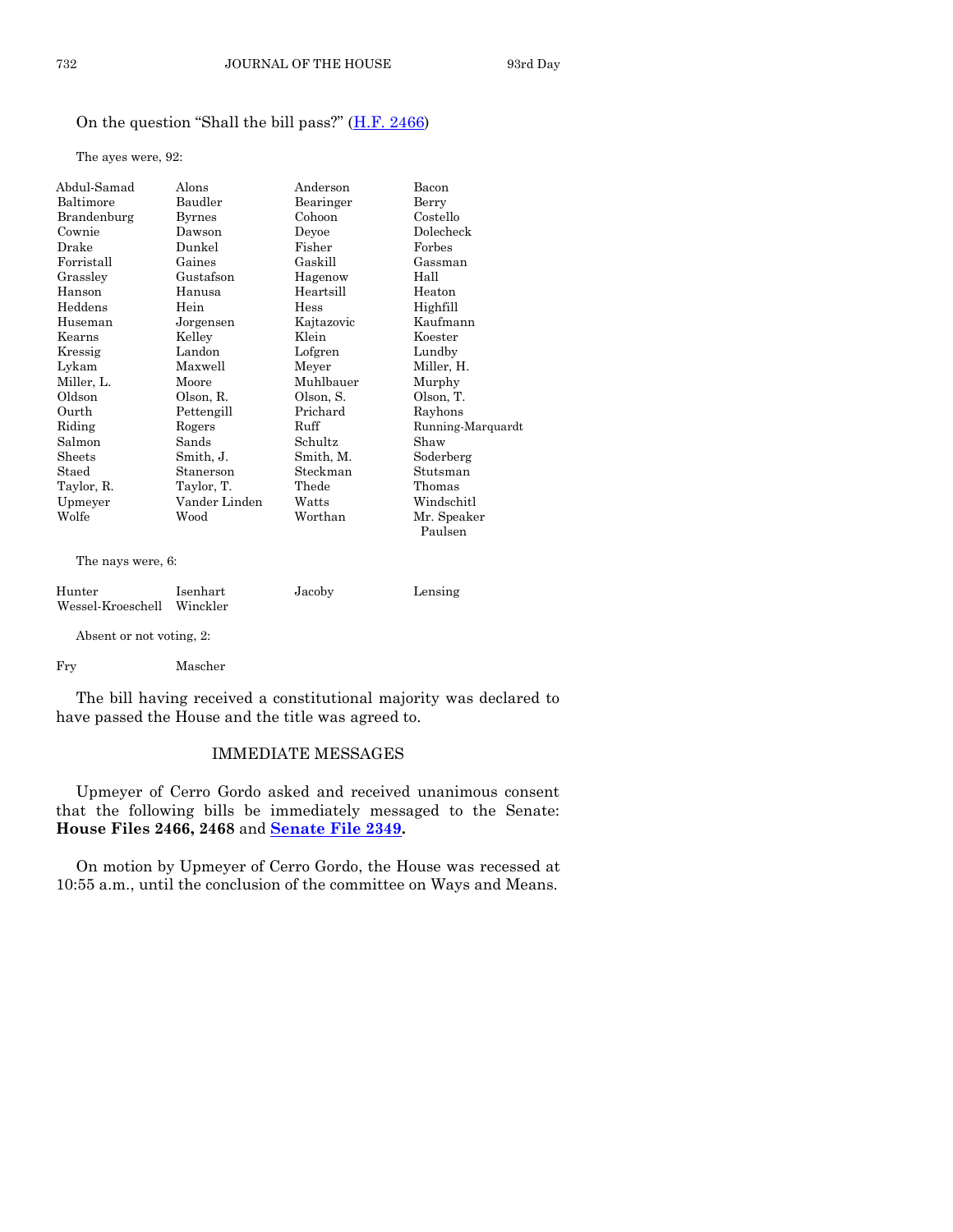# On the question "Shall the bill pass?" ([H.F. 2466\)](http://coolice.legis.iowa.gov/Cool-ICE/default.asp?Category=billinfo&Service=Billbook&frame=1&GA=85&hbill=HF2466)

The ayes were, 92:

| Abdul-Samad | Alons         | Anderson   | Bacon             |
|-------------|---------------|------------|-------------------|
| Baltimore   | Baudler       | Bearinger  | Berry             |
| Brandenburg | <b>Byrnes</b> | Cohoon     | Costello          |
| Cownie      | Dawson        | Devoe      | Dolecheck         |
| Drake       | Dunkel        | Fisher     | Forbes            |
| Forristall  | Gaines        | Gaskill    | Gassman           |
| Grassley    | Gustafson     | Hagenow    | Hall              |
| Hanson      | Hanusa        | Heartsill  | Heaton            |
| Heddens     | Hein          | Hess       | Highfill          |
| Huseman     | Jorgensen     | Kajtazovic | Kaufmann          |
| Kearns      | Kelley        | Klein      | Koester           |
| Kressig     | Landon        | Lofgren    | Lundby            |
| Lykam       | Maxwell       | Meyer      | Miller, H.        |
| Miller, L.  | Moore         | Muhlbauer  | Murphy            |
| Oldson      | Olson, R.     | Olson, S.  | Olson, T.         |
| Ourth       | Pettengill    | Prichard   | Rayhons           |
| Riding      | Rogers        | Ruff       | Running-Marquardt |
| Salmon      | Sands         | Schultz    | Shaw              |
| Sheets      | Smith, J.     | Smith, M.  | Soderberg         |
| Staed       | Stanerson     | Steckman   | Stutsman          |
| Taylor, R.  | Taylor, T.    | Thede      | Thomas            |
| Upmeyer     | Vander Linden | Watts      | Windschitl        |
| Wolfe       | Wood          | Worthan    | Mr. Speaker       |
|             |               |            | Paulsen           |

The nays were, 6:

| Hunter                     | Isenhart | Jacoby | Lensing |
|----------------------------|----------|--------|---------|
| Wessel-Kroeschell Winckler |          |        |         |
|                            |          |        |         |

Absent or not voting, 2:

Fry Mascher

The bill having received a constitutional majority was declared to have passed the House and the title was agreed to.

# IMMEDIATE MESSAGES

Upmeyer of Cerro Gordo asked and received unanimous consent that the following bills be immediately messaged to the Senate: **House Files 2466, 2468** and **[Senate File 2349.](http://coolice.legis.iowa.gov/Cool-ICE/default.asp?Category=billinfo&Service=Billbook&frame=1&GA=85&hbill=SF2349)**

On motion by Upmeyer of Cerro Gordo, the House was recessed at 10:55 a.m., until the conclusion of the committee on Ways and Means.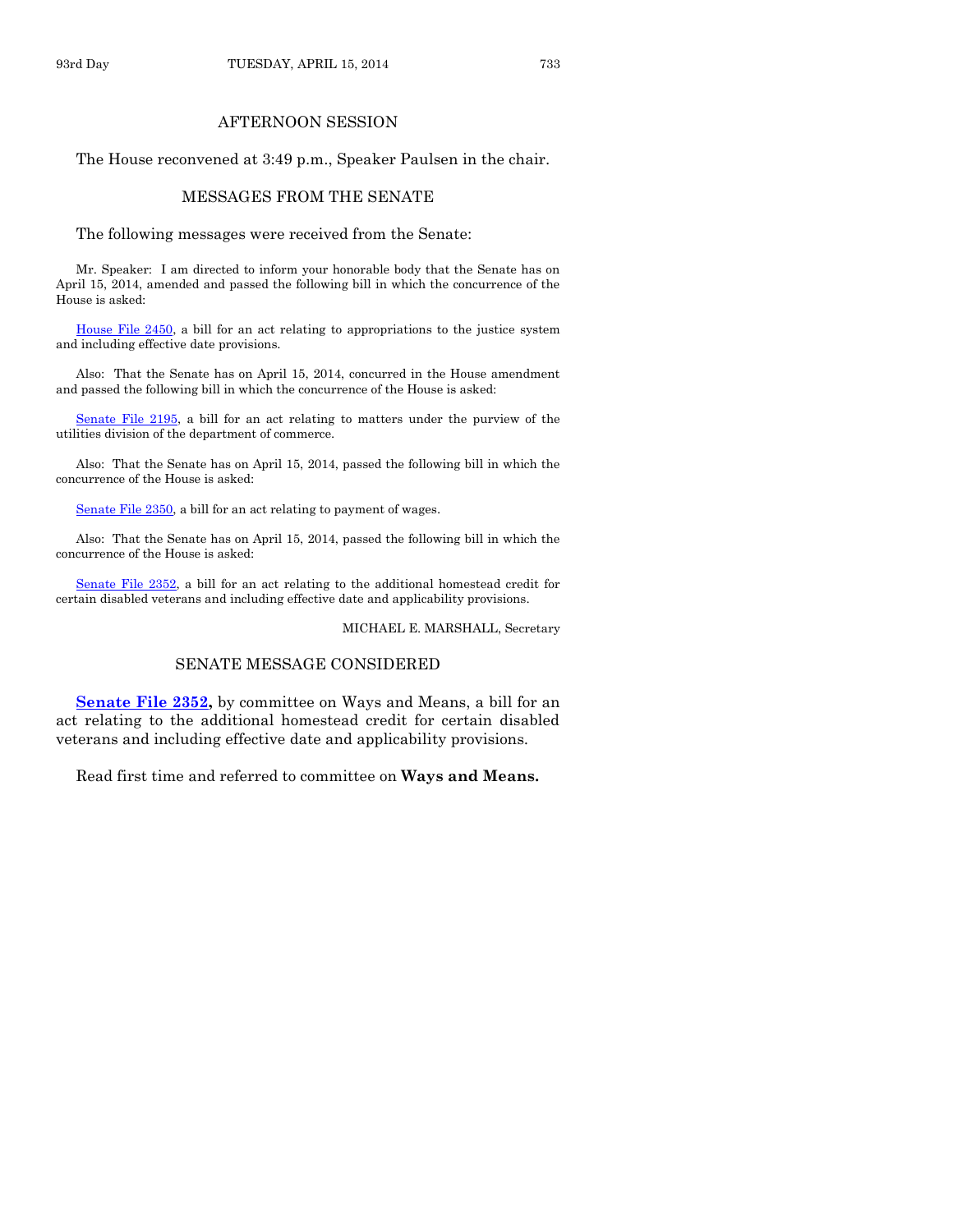## AFTERNOON SESSION

The House reconvened at 3:49 p.m., Speaker Paulsen in the chair.

# MESSAGES FROM THE SENATE

The following messages were received from the Senate:

Mr. Speaker: I am directed to inform your honorable body that the Senate has on April 15, 2014, amended and passed the following bill in which the concurrence of the House is asked:

[House File 2450,](http://coolice.legis.iowa.gov/Cool-ICE/default.asp?Category=billinfo&Service=Billbook&frame=1&GA=85&hbill=HF2450) a bill for an act relating to appropriations to the justice system and including effective date provisions.

Also: That the Senate has on April 15, 2014, concurred in the House amendment and passed the following bill in which the concurrence of the House is asked:

[Senate File 2195,](http://coolice.legis.iowa.gov/Cool-ICE/default.asp?Category=billinfo&Service=Billbook&frame=1&GA=85&hbill=SF2195) a bill for an act relating to matters under the purview of the utilities division of the department of commerce.

Also: That the Senate has on April 15, 2014, passed the following bill in which the concurrence of the House is asked:

[Senate File 2350,](http://coolice.legis.iowa.gov/Cool-ICE/default.asp?Category=billinfo&Service=Billbook&frame=1&GA=85&hbill=SF2350) a bill for an act relating to payment of wages.

Also: That the Senate has on April 15, 2014, passed the following bill in which the concurrence of the House is asked:

[Senate File 2352,](http://coolice.legis.iowa.gov/Cool-ICE/default.asp?Category=billinfo&Service=Billbook&frame=1&GA=85&hbill=SF2352) a bill for an act relating to the additional homestead credit for certain disabled veterans and including effective date and applicability provisions.

MICHAEL E. MARSHALL, Secretary

#### SENATE MESSAGE CONSIDERED

**[Senate File 2352,](http://coolice.legis.iowa.gov/Cool-ICE/default.asp?Category=billinfo&Service=Billbook&frame=1&GA=85&hbill=SF2352)** by committee on Ways and Means, a bill for an act relating to the additional homestead credit for certain disabled veterans and including effective date and applicability provisions.

Read first time and referred to committee on **Ways and Means.**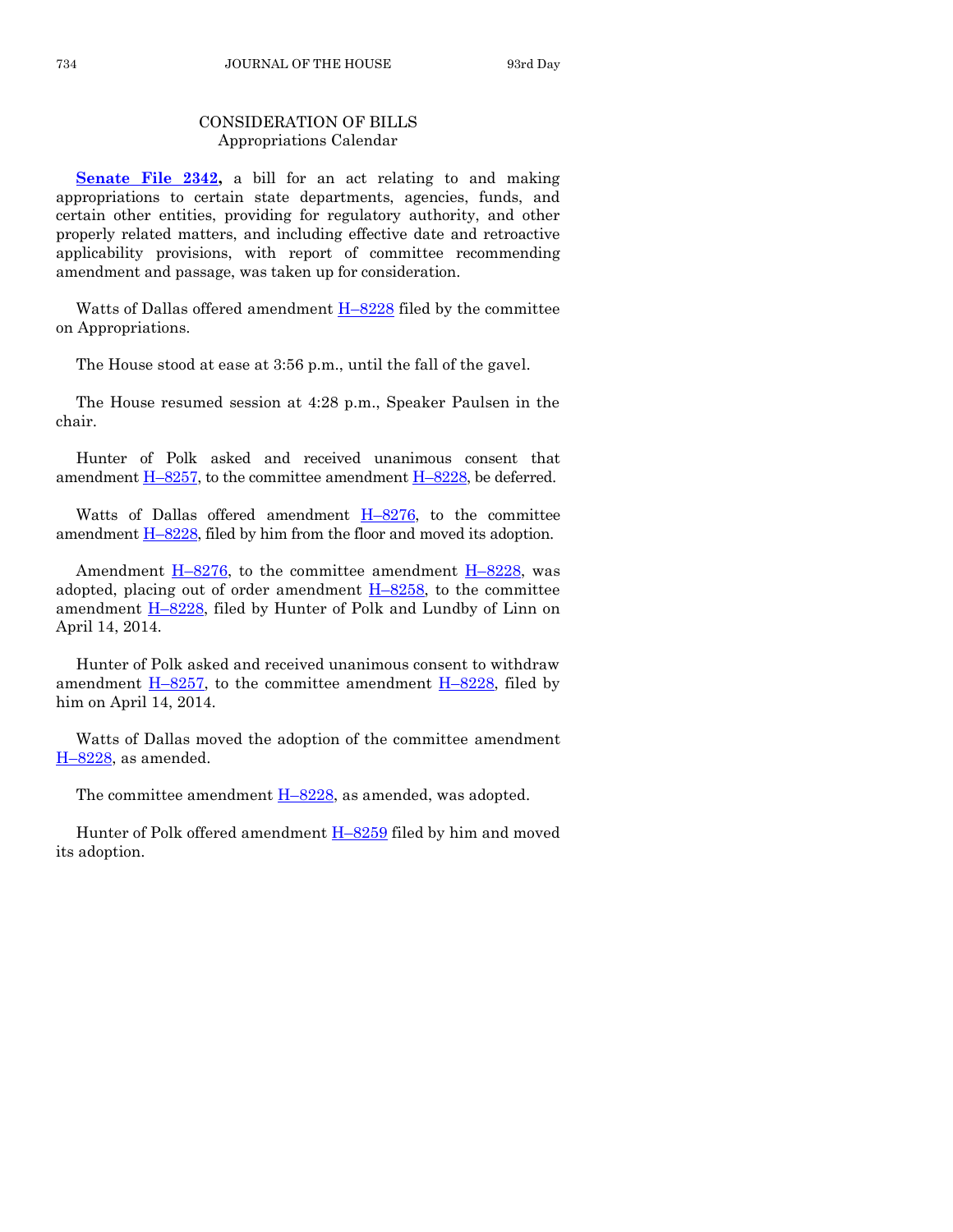# CONSIDERATION OF BILLS Appropriations Calendar

**[Senate File 2342,](http://coolice.legis.iowa.gov/Cool-ICE/default.asp?Category=billinfo&Service=Billbook&frame=1&GA=85&hbill=SF2342)** a bill for an act relating to and making appropriations to certain state departments, agencies, funds, and certain other entities, providing for regulatory authority, and other properly related matters, and including effective date and retroactive applicability provisions, with report of committee recommending amendment and passage, was taken up for consideration.

Watts of Dallas offered amendment  $H-8228$  $H-8228$  filed by the committee on Appropriations.

The House stood at ease at 3:56 p.m., until the fall of the gavel.

The House resumed session at 4:28 p.m., Speaker Paulsen in the chair.

Hunter of Polk asked and received unanimous consent that amendment H–[8257,](http://coolice.legis.iowa.gov/Cool-ICE/default.asp?Category=billinfo&Service=Billbook&frame=1&GA=85&hbill=H8257) to the committee amendment H–[8228,](http://coolice.legis.iowa.gov/Cool-ICE/default.asp?Category=billinfo&Service=Billbook&frame=1&GA=85&hbill=H8228) be deferred.

Watts of Dallas offered amendment  $H-8276$ , to the committee amendment H–[8228,](http://coolice.legis.iowa.gov/Cool-ICE/default.asp?Category=billinfo&Service=Billbook&frame=1&GA=85&hbill=H8228) filed by him from the floor and moved its adoption.

Amendment  $\underline{H-8276}$ , to the committee amendment  $\underline{H-8228}$ , was adopted, placing out of order amendment  $H-8258$ , to the committee amendment H-[8228,](http://coolice.legis.iowa.gov/Cool-ICE/default.asp?Category=billinfo&Service=Billbook&frame=1&GA=85&hbill=H8228) filed by Hunter of Polk and Lundby of Linn on April 14, 2014.

Hunter of Polk asked and received unanimous consent to withdraw amendment  $H-8257$ , to the committee amendment  $H-8228$ , filed by him on April 14, 2014.

Watts of Dallas moved the adoption of the committee amendment H–[8228,](http://coolice.legis.iowa.gov/Cool-ICE/default.asp?Category=billinfo&Service=Billbook&frame=1&GA=85&hbill=H8228) as amended.

The committee amendment  $H-8228$ , as amended, was adopted.

Hunter of Polk offered amendment H–[8259](http://coolice.legis.iowa.gov/Cool-ICE/default.asp?Category=billinfo&Service=Billbook&frame=1&GA=85&hbill=H8259) filed by him and moved its adoption.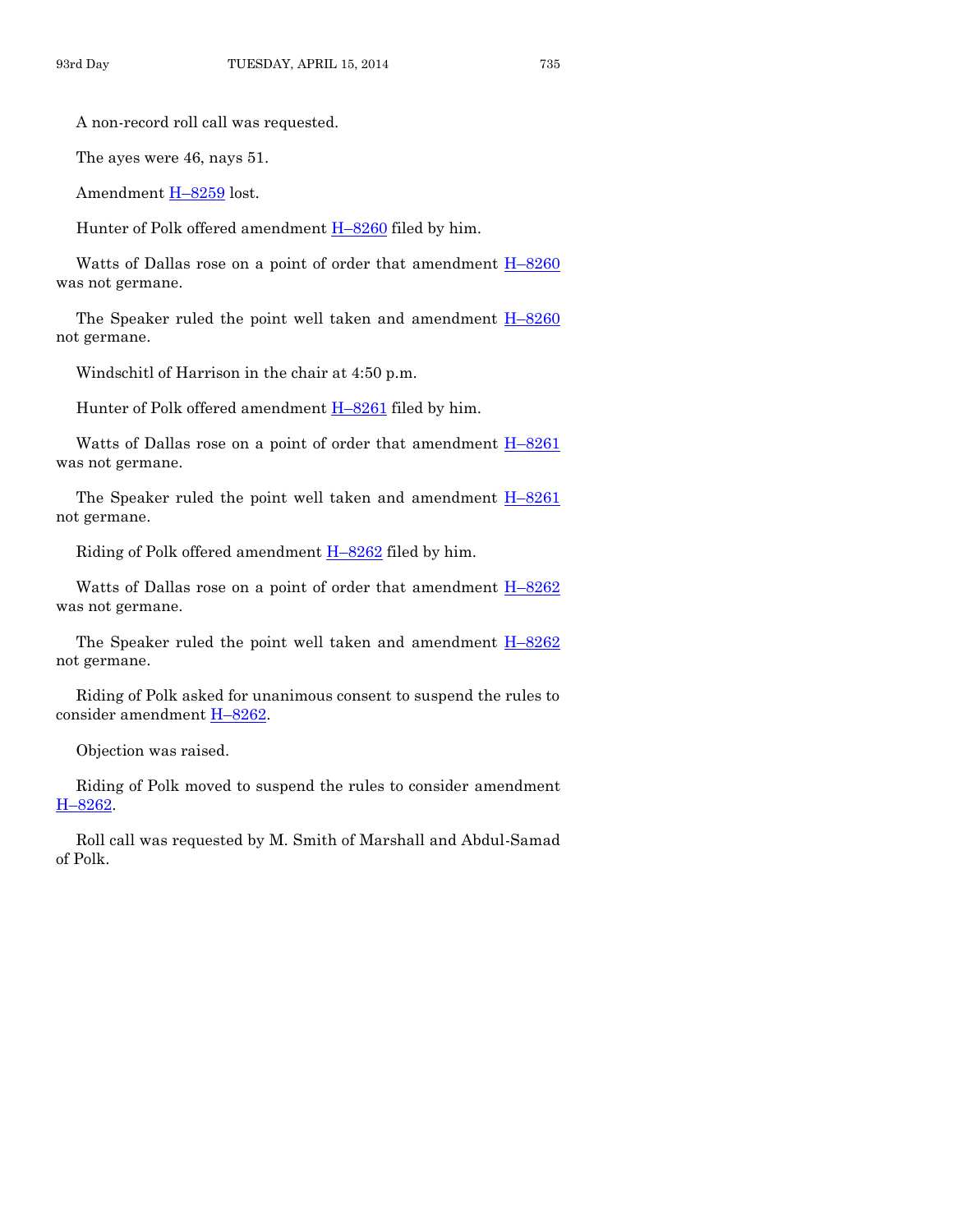A non-record roll call was requested.

The ayes were 46, nays 51.

Amendment H-[8259](http://coolice.legis.iowa.gov/Cool-ICE/default.asp?Category=billinfo&Service=Billbook&frame=1&GA=85&hbill=H8259) lost.

Hunter of Polk offered amendment  $H-8260$  $H-8260$  filed by him.

Watts of Dallas rose on a point of order that amendment  $H-8260$  $H-8260$ was not germane.

The Speaker ruled the point well taken and amendment H–[8260](http://coolice.legis.iowa.gov/Cool-ICE/default.asp?Category=billinfo&Service=Billbook&frame=1&GA=85&hbill=H8260) not germane.

Windschitl of Harrison in the chair at 4:50 p.m.

Hunter of Polk offered amendment  $H-8261$  $H-8261$  filed by him.

Watts of Dallas rose on a point of order that amendment  $H-8261$  $H-8261$ was not germane.

The Speaker ruled the point well taken and amendment H–[8261](http://coolice.legis.iowa.gov/Cool-ICE/default.asp?Category=billinfo&Service=Billbook&frame=1&GA=85&hbill=H8261) not germane.

Riding of Polk offered amendment  $H-8262$  $H-8262$  filed by him.

Watts of Dallas rose on a point of order that amendment  $H-8262$  $H-8262$ was not germane.

The Speaker ruled the point well taken and amendment  $H-8262$  $H-8262$ not germane.

Riding of Polk asked for unanimous consent to suspend the rules to consider amendment H–[8262.](http://coolice.legis.iowa.gov/Cool-ICE/default.asp?Category=billinfo&Service=Billbook&frame=1&GA=85&hbill=H8262)

Objection was raised.

Riding of Polk moved to suspend the rules to consider amendment H–[8262.](http://coolice.legis.iowa.gov/Cool-ICE/default.asp?Category=billinfo&Service=Billbook&frame=1&GA=85&hbill=H8262)

Roll call was requested by M. Smith of Marshall and Abdul-Samad of Polk.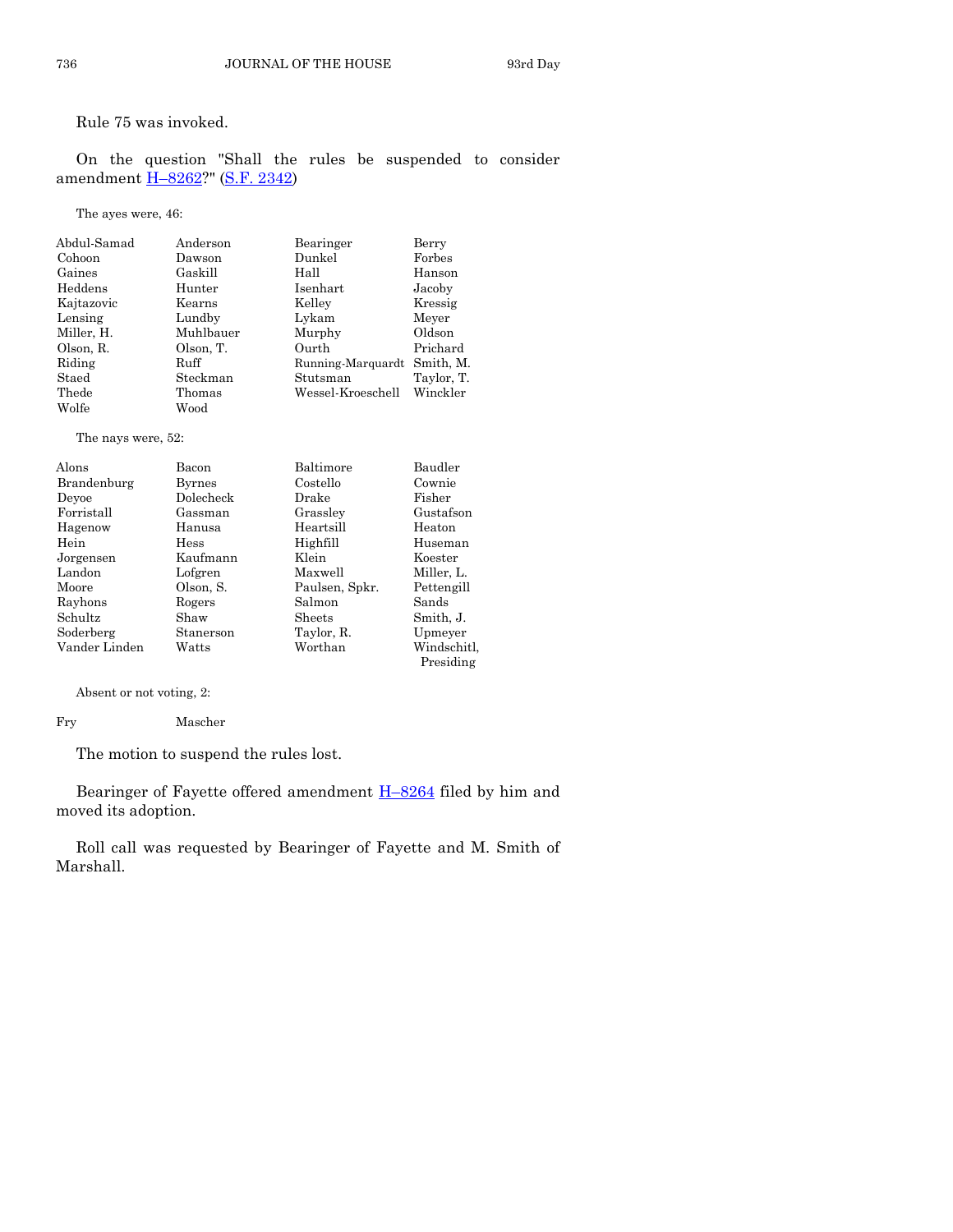Rule 75 was invoked.

On the question "Shall the rules be suspended to consider amendment H–[8262?](http://coolice.legis.iowa.gov/Cool-ICE/default.asp?Category=billinfo&Service=Billbook&frame=1&GA=85&hbill=H8262)" [\(S.F. 2342\)](http://coolice.legis.iowa.gov/Cool-ICE/default.asp?Category=billinfo&Service=Billbook&frame=1&GA=85&hbill=SF2342)

The ayes were, 46:

| Abdul-Samad | Anderson  | Bearinger         | Berry      |
|-------------|-----------|-------------------|------------|
| Cohoon      | Dawson    | Dunkel            | Forbes     |
| Gaines      | Gaskill   | Hall              | Hanson     |
| Heddens     | Hunter    | Isenhart          | Jacoby     |
| Kajtazovic  | Kearns    | Kelley            | Kressig    |
| Lensing     | Lundby    | Lykam             | Meyer      |
| Miller, H.  | Muhlbauer | Murphy            | Oldson     |
| Olson, R.   | Olson, T. | Ourth             | Prichard   |
| Riding      | Ruff      | Running-Marquardt | Smith, M.  |
| Staed       | Steckman  | Stutsman          | Taylor, T. |
| Thede       | Thomas    | Wessel-Kroeschell | Winckler   |
| Wolfe       | Wood      |                   |            |

The nays were, 52:

| Alons         | Bacon         | Baltimore      | Baudler     |
|---------------|---------------|----------------|-------------|
| Brandenburg   | <b>Byrnes</b> | Costello       | Cownie      |
| Devoe         | Dolecheck     | Drake          | Fisher      |
| Forristall    | Gassman       | Grassley       | Gustafson   |
| Hagenow       | Hanusa        | Heartsill      | Heaton      |
| Hein          | Hess          | Highfill       | Huseman     |
| Jorgensen     | Kaufmann      | Klein          | Koester     |
| Landon        | Lofgren       | Maxwell        | Miller, L.  |
| Moore         | Olson, S.     | Paulsen, Spkr. | Pettengill  |
| Rayhons       | Rogers        | Salmon         | Sands       |
| Schultz       | Shaw          | Sheets         | Smith, J.   |
| Soderberg     | Stanerson     | Taylor, R.     | Upmeyer     |
| Vander Linden | Watts         | Worthan        | Windschitl. |
|               |               |                | Presiding   |

Absent or not voting, 2:

Fry Mascher

The motion to suspend the rules lost.

Bearinger of Fayette offered amendment H–[8264](http://coolice.legis.iowa.gov/Cool-ICE/default.asp?Category=billinfo&Service=Billbook&frame=1&GA=85&hbill=H8264) filed by him and moved its adoption.

Roll call was requested by Bearinger of Fayette and M. Smith of Marshall.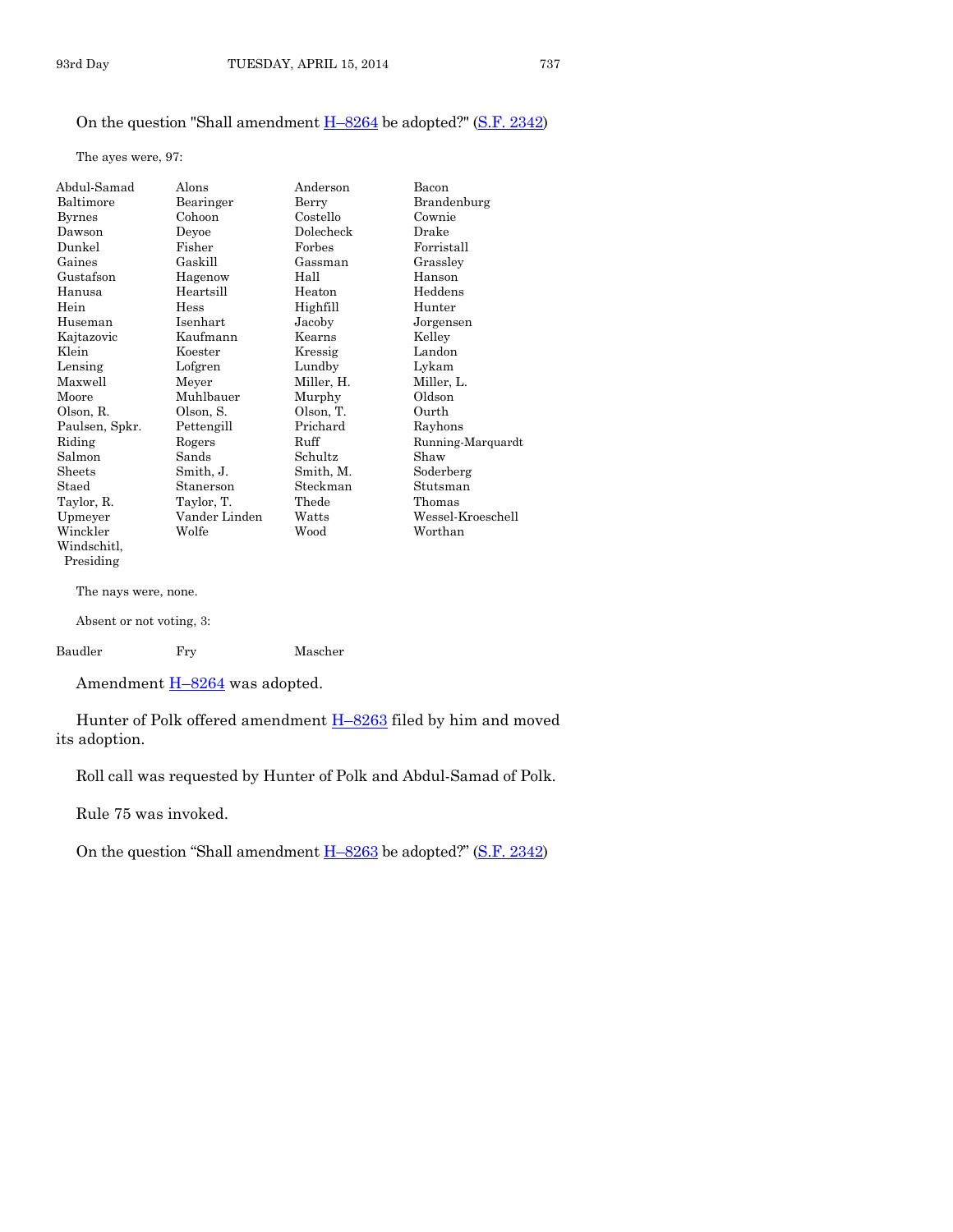# On the question "Shall amendment  $H-8264$  $H-8264$  be adopted?" [\(S.F. 2342\)](http://coolice.legis.iowa.gov/Cool-ICE/default.asp?Category=billinfo&Service=Billbook&frame=1&GA=85&hbill=SF2342)

The ayes were, 97:

| Abdul-Samad    | Alons         | Anderson   | Bacon             |
|----------------|---------------|------------|-------------------|
| Baltimore      | Bearinger     | Berry      | Brandenburg       |
| <b>Byrnes</b>  | Cohoon        | Costello   | Cownie            |
| Dawson         | Deyoe         | Dolecheck  | Drake             |
| Dunkel         | Fisher        | Forbes     | Forristall        |
| Gaines         | Gaskill       | Gassman    | Grassley          |
| Gustafson      | Hagenow       | Hall       | Hanson            |
| Hanusa         | Heartsill     | Heaton     | Heddens           |
| Hein           | Hess          | Highfill   | Hunter            |
| Huseman        | Isenhart      | Jacoby     | Jorgensen         |
| Kajtazovic     | Kaufmann      | Kearns     | Kelley            |
| Klein          | Koester       | Kressig    | Landon            |
| Lensing        | Lofgren       | Lundby     | Lykam             |
| Maxwell        | Meyer         | Miller, H. | Miller, L.        |
| Moore          | Muhlbauer     | Murphy     | Oldson            |
| Olson, R.      | Olson, S.     | Olson, T.  | Ourth             |
| Paulsen, Spkr. | Pettengill    | Prichard   | Rayhons           |
| Riding         | Rogers        | Ruff       | Running-Marquardt |
| Salmon         | Sands         | Schultz    | Shaw              |
| <b>Sheets</b>  | Smith, J.     | Smith, M.  | Soderberg         |
| Staed          | Stanerson     | Steckman   | Stutsman          |
| Taylor, R.     | Taylor, T.    | Thede      | Thomas            |
| Upmeyer        | Vander Linden | Watts      | Wessel-Kroeschell |
| Winckler       | Wolfe         | Wood       | Worthan           |
| Windschitl.    |               |            |                   |
| Presiding      |               |            |                   |
|                |               |            |                   |

The nays were, none.

Absent or not voting, 3:

| Baudler | Frv | Mascher |
|---------|-----|---------|
|         |     |         |

Amendment  $\underline{H-8264}$  $\underline{H-8264}$  $\underline{H-8264}$  was adopted.

Hunter of Polk offered amendment H–[8263](http://coolice.legis.iowa.gov/Cool-ICE/default.asp?Category=billinfo&Service=Billbook&frame=1&GA=85&hbill=H8263) filed by him and moved its adoption.

Roll call was requested by Hunter of Polk and Abdul-Samad of Polk.

Rule 75 was invoked.

On the question "Shall amendment  $H-8263$  $H-8263$  be adopted?" ([S.F. 2342\)](http://coolice.legis.iowa.gov/Cool-ICE/default.asp?Category=billinfo&Service=Billbook&frame=1&GA=85&hbill=SF2342)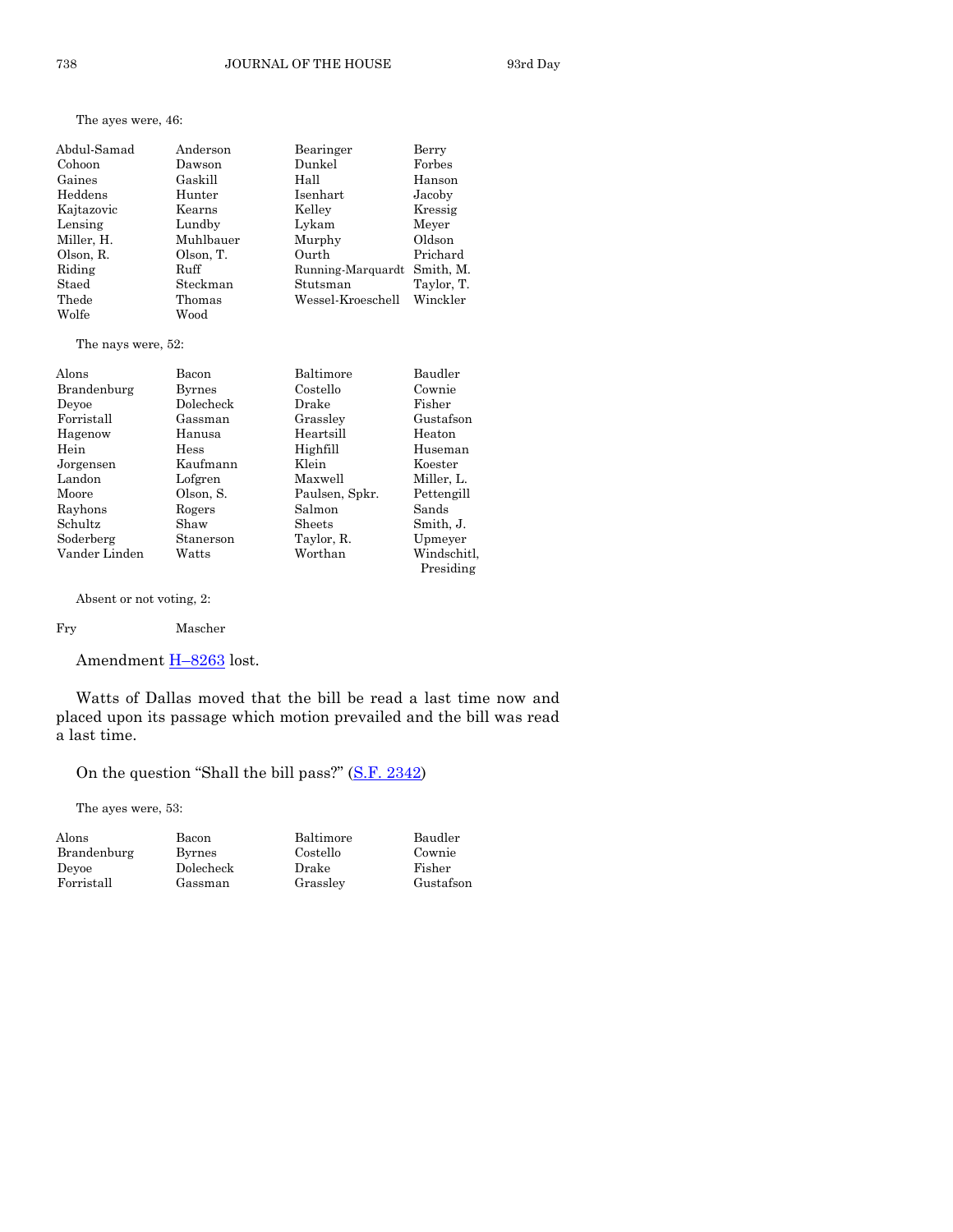# The ayes were, 46:

| Abdul-Samad | Anderson  | Bearinger         | Berry      |
|-------------|-----------|-------------------|------------|
| Cohoon      | Dawson    | Dunkel            | Forbes     |
| Gaines      | Gaskill   | Hall              | Hanson     |
| Heddens     | Hunter    | Isenhart          | Jacoby     |
| Kajtazovic  | Kearns    | Kelley            | Kressig    |
| Lensing     | Lundby    | Lykam             | Meyer      |
| Miller, H.  | Muhlbauer | Murphy            | Oldson     |
| Olson, R.   | Olson, T. | Ourth             | Prichard   |
| Riding      | Ruff      | Running-Marquardt | Smith, M.  |
| Staed       | Steckman  | Stutsman          | Taylor, T. |
| Thede       | Thomas    | Wessel-Kroeschell | Winckler   |
| Wolfe       | Wood      |                   |            |

#### The nays were, 52:

| Alons         | Bacon     | Baltimore      | Baudler     |
|---------------|-----------|----------------|-------------|
| Brandenburg   | Byrnes    | Costello       | Cownie      |
| Deyoe         | Dolecheck | Drake          | Fisher      |
| Forristall    | Gassman   | Grasslev       | Gustafson   |
| Hagenow       | Hanusa    | Heartsill      | Heaton      |
| Hein          | Hess      | Highfill       | Huseman     |
| Jorgensen     | Kaufmann  | Klein          | Koester     |
| Landon        | Lofgren   | Maxwell        | Miller, L.  |
| Moore         | Olson, S. | Paulsen, Spkr. | Pettengill  |
| Rayhons       | Rogers    | Salmon         | Sands       |
| Schultz       | Shaw      | Sheets         | Smith, J.   |
| Soderberg     | Stanerson | Taylor, R.     | Upmeyer     |
| Vander Linden | Watts     | Worthan        | Windschitl, |
|               |           |                | Presiding   |

Absent or not voting, 2:

# Fry Mascher

Amendment **H-[8263](http://coolice.legis.iowa.gov/Cool-ICE/default.asp?Category=billinfo&Service=Billbook&frame=1&GA=85&hbill=H8263)** lost.

Watts of Dallas moved that the bill be read a last time now and placed upon its passage which motion prevailed and the bill was read a last time.

On the question "Shall the bill pass?" ([S.F. 2342\)](http://coolice.legis.iowa.gov/Cool-ICE/default.asp?Category=billinfo&Service=Billbook&frame=1&GA=85&hbill=SF2342)

The ayes were, 53:

| Alons       | Bacon         | Baltimore | Baudler   |
|-------------|---------------|-----------|-----------|
| Brandenburg | <b>Byrnes</b> | Costello  | Cownie    |
| Devoe       | Dolecheck     | Drake     | Fisher    |
| Forristall  | Gassman       | Grassley  | Gustafson |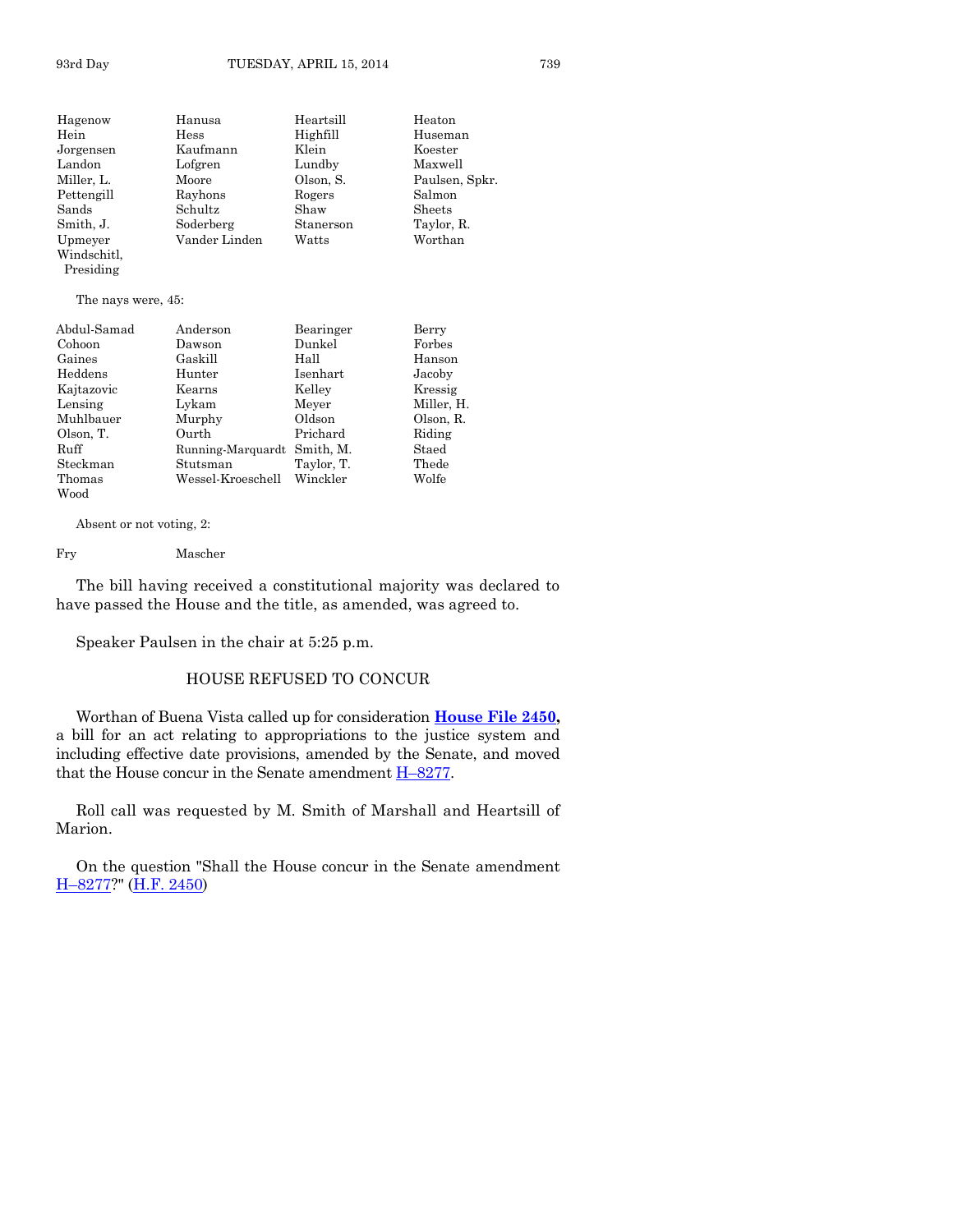| Hagenow     | Hanusa        | Heartsill | Heaton         |
|-------------|---------------|-----------|----------------|
| Hein        | Hess          | Highfill  | Huseman        |
| Jorgensen   | Kaufmann      | Klein     | Koester        |
| Landon      | Lofgren       | Lundby    | Maxwell        |
| Miller, L.  | Moore         | Olson, S. | Paulsen, Spkr. |
| Pettengill  | Rayhons       | Rogers    | Salmon         |
| Sands       | Schultz       | Shaw      | Sheets         |
| Smith, J.   | Soderberg     | Stanerson | Taylor, R.     |
| Upmeyer     | Vander Linden | Watts     | Worthan        |
| Windschitl, |               |           |                |

The nays were, 45:

Presiding

| Abdul-Samad | Anderson          | Bearinger  | Berry      |
|-------------|-------------------|------------|------------|
| Cohoon      | Dawson            | Dunkel     | Forbes     |
| Gaines      | Gaskill           | Hall       | Hanson     |
| Heddens     | Hunter            | Isenhart   | Jacoby     |
| Kajtazovic  | Kearns            | Kelley     | Kressig    |
| Lensing     | Lykam             | Meyer      | Miller, H. |
| Muhlbauer   | Murphy            | Oldson     | Olson, R.  |
| Olson, T.   | Ourth             | Prichard   | Riding     |
| Ruff        | Running-Marquardt | Smith, M.  | Staed      |
| Steckman    | Stutsman          | Taylor, T. | Thede      |
| Thomas      | Wessel-Kroeschell | Winckler   | Wolfe      |
| Wood        |                   |            |            |

Absent or not voting, 2:

Fry Mascher

The bill having received a constitutional majority was declared to have passed the House and the title, as amended, was agreed to.

Speaker Paulsen in the chair at 5:25 p.m.

# HOUSE REFUSED TO CONCUR

Worthan of Buena Vista called up for consideration **[House File 2450,](http://coolice.legis.iowa.gov/Cool-ICE/default.asp?Category=billinfo&Service=Billbook&frame=1&GA=85&hbill=HF2450)** a bill for an act relating to appropriations to the justice system and including effective date provisions, amended by the Senate, and moved that the House concur in the Senate amendment  $H-8277$ .

Roll call was requested by M. Smith of Marshall and Heartsill of Marion.

On the question "Shall the House concur in the Senate amendment H–[8277?](http://coolice.legis.iowa.gov/Cool-ICE/default.asp?Category=billinfo&Service=Billbook&frame=1&GA=85&hbill=H8277)" [\(H.F. 2450\)](http://coolice.legis.iowa.gov/Cool-ICE/default.asp?Category=billinfo&Service=Billbook&frame=1&GA=85&hbill=HF2450)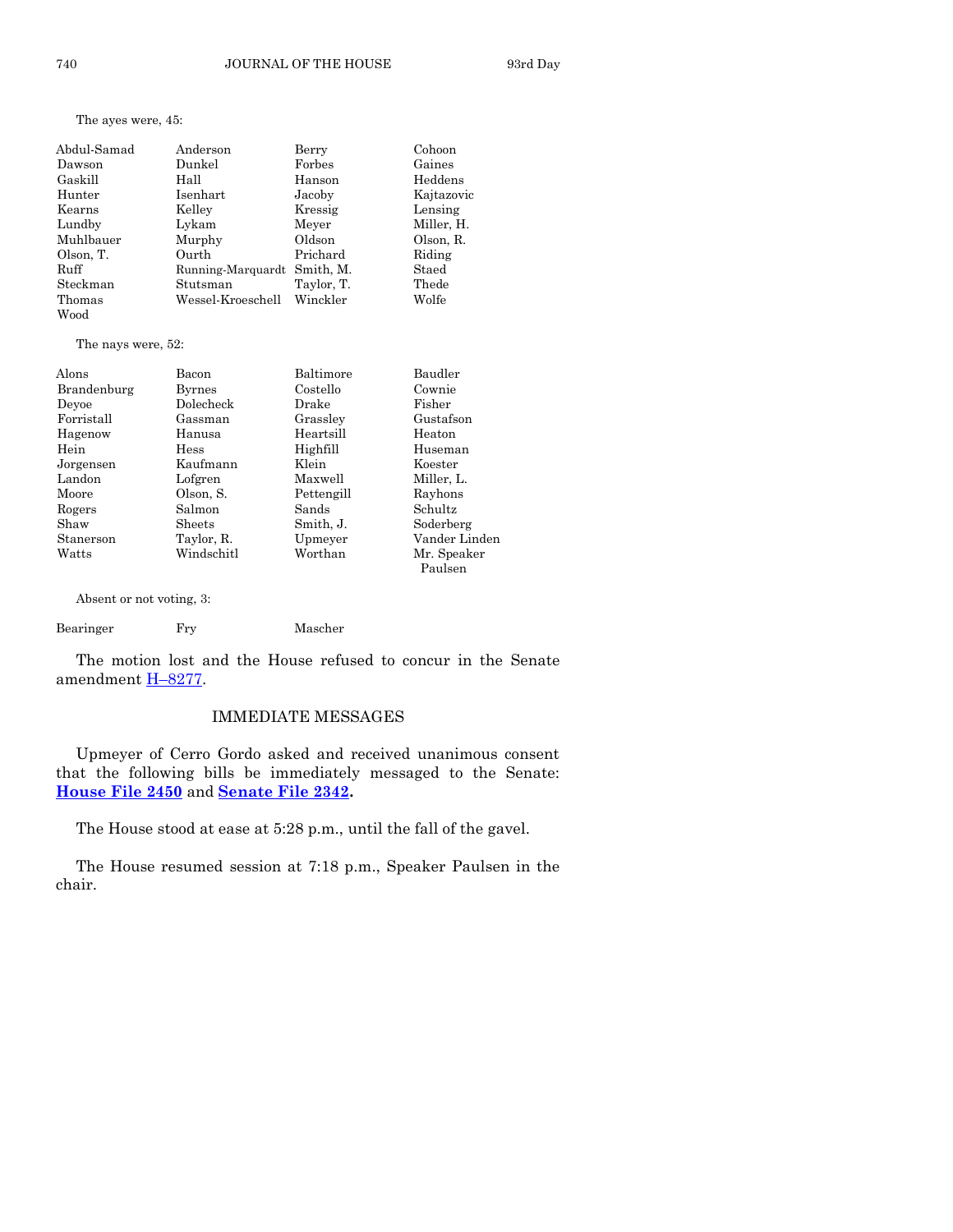The ayes were, 45:

| Abdul-Samad | Anderson          | Berry      | Cohoon     |
|-------------|-------------------|------------|------------|
| Dawson      | Dunkel            | Forbes     | Gaines     |
| Gaskill     | Hall              | Hanson     | Heddens    |
| Hunter      | Isenhart          | Jacoby     | Kajtazovic |
| Kearns      | Kelley            | Kressig    | Lensing    |
| Lundby      | Lykam             | Meyer      | Miller, H. |
| Muhlbauer   | Murphy            | Oldson     | Olson, R.  |
| Olson, T.   | Ourth             | Prichard   | Riding     |
| Ruff        | Running-Marquardt | Smith, M.  | Staed      |
| Steckman    | Stutsman          | Taylor, T. | Thede      |
| Thomas      | Wessel-Kroeschell | Winckler   | Wolfe      |
| Wood        |                   |            |            |

The nays were, 52:

| Bacon         | Baltimore  | Baudler       |
|---------------|------------|---------------|
| <b>Byrnes</b> | Costello   | Cownie        |
| Dolecheck     | Drake      | Fisher        |
| Gassman       | Grasslev   | Gustafson     |
| Hanusa        | Heartsill  | Heaton        |
| Hess          | Highfill   | Huseman       |
| Kaufmann      | Klein      | Koester       |
| Lofgren       | Maxwell    | Miller, L.    |
| Olson, S.     | Pettengill | Rayhons       |
| Salmon        | Sands      | Schultz       |
| Sheets        | Smith, J.  | Soderberg     |
| Taylor, R.    | Upmeyer    | Vander Linden |
| Windschitl    | Worthan    | Mr. Speaker   |
|               |            | Paulsen       |
|               |            |               |

Absent or not voting, 3:

|  | Bearinger | Frv | Mascher |
|--|-----------|-----|---------|
|--|-----------|-----|---------|

The motion lost and the House refused to concur in the Senate amendment H–[8277.](http://coolice.legis.iowa.gov/Cool-ICE/default.asp?Category=billinfo&Service=Billbook&frame=1&GA=85&hbill=H8277)

# IMMEDIATE MESSAGES

Upmeyer of Cerro Gordo asked and received unanimous consent that the following bills be immediately messaged to the Senate: **[House File 2450](http://coolice.legis.iowa.gov/Cool-ICE/default.asp?Category=billinfo&Service=Billbook&frame=1&GA=85&hbill=HF2450)** and **[Senate File 2342.](http://coolice.legis.iowa.gov/Cool-ICE/default.asp?Category=billinfo&Service=Billbook&frame=1&GA=85&hbill=SF2342)**

The House stood at ease at 5:28 p.m., until the fall of the gavel.

The House resumed session at 7:18 p.m., Speaker Paulsen in the chair.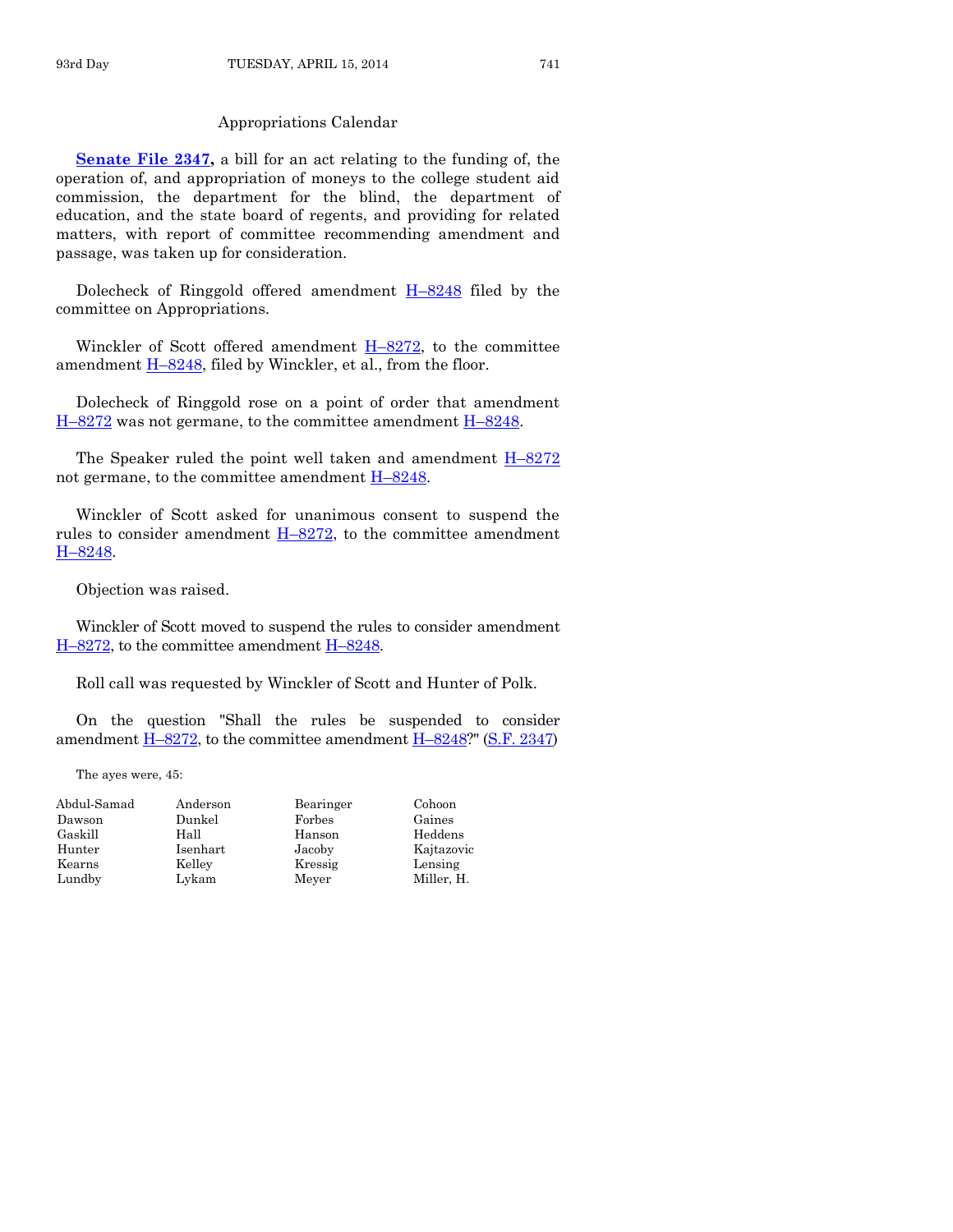#### Appropriations Calendar

**[Senate File 2347,](http://coolice.legis.iowa.gov/Cool-ICE/default.asp?Category=billinfo&Service=Billbook&frame=1&GA=85&hbill=SF2347)** a bill for an act relating to the funding of, the operation of, and appropriation of moneys to the college student aid commission, the department for the blind, the department of education, and the state board of regents, and providing for related matters, with report of committee recommending amendment and passage, was taken up for consideration.

Dolecheck of Ringgold offered amendment  $H-8248$  $H-8248$  filed by the committee on Appropriations.

Winckler of Scott offered amendment  $H-8272$ , to the committee amendment  $H-8248$ , filed by Winckler, et al., from the floor.

Dolecheck of Ringgold rose on a point of order that amendment H–[8272](http://coolice.legis.iowa.gov/Cool-ICE/default.asp?Category=billinfo&Service=Billbook&frame=1&GA=85&hbill=H8272) was not germane, to the committee amendment H–[8248.](http://coolice.legis.iowa.gov/Cool-ICE/default.asp?Category=billinfo&Service=Billbook&frame=1&GA=85&hbill=H8248)

The Speaker ruled the point well taken and amendment H–[8272](http://coolice.legis.iowa.gov/Cool-ICE/default.asp?Category=billinfo&Service=Billbook&frame=1&GA=85&hbill=H8272) not germane, to the committee amendment  $H-8248$ .

Winckler of Scott asked for unanimous consent to suspend the rules to consider amendment  $H-8272$ , to the committee amendment H–[8248.](http://coolice.legis.iowa.gov/Cool-ICE/default.asp?Category=billinfo&Service=Billbook&frame=1&GA=85&hbill=H8248)

Objection was raised.

Winckler of Scott moved to suspend the rules to consider amendment  $H-8272$ , to the committee amendment  $H-8248$ .

Roll call was requested by Winckler of Scott and Hunter of Polk.

On the question "Shall the rules be suspended to consider amendment H–[8272,](http://coolice.legis.iowa.gov/Cool-ICE/default.asp?Category=billinfo&Service=Billbook&frame=1&GA=85&hbill=H8272) to the committee amendment H–[8248?](http://coolice.legis.iowa.gov/Cool-ICE/default.asp?Category=billinfo&Service=Billbook&frame=1&GA=85&hbill=H8248)" [\(S.F. 2347\)](http://coolice.legis.iowa.gov/Cool-ICE/default.asp?Category=billinfo&Service=Billbook&frame=1&GA=85&hbill=SF2347)

The ayes were, 45:

| Abdul-Samad | Anderson | Bearinger | Cohoon     |
|-------------|----------|-----------|------------|
| Dawson      | Dunkel   | Forbes    | Gaines     |
| Gaskill     | Hall     | Hanson    | Heddens    |
| Hunter      | Isenhart | Jacoby    | Kajtazovic |
| Kearns      | Kelley   | Kressig   | Lensing    |
| Lundby      | Lykam    | Meyer     | Miller, H. |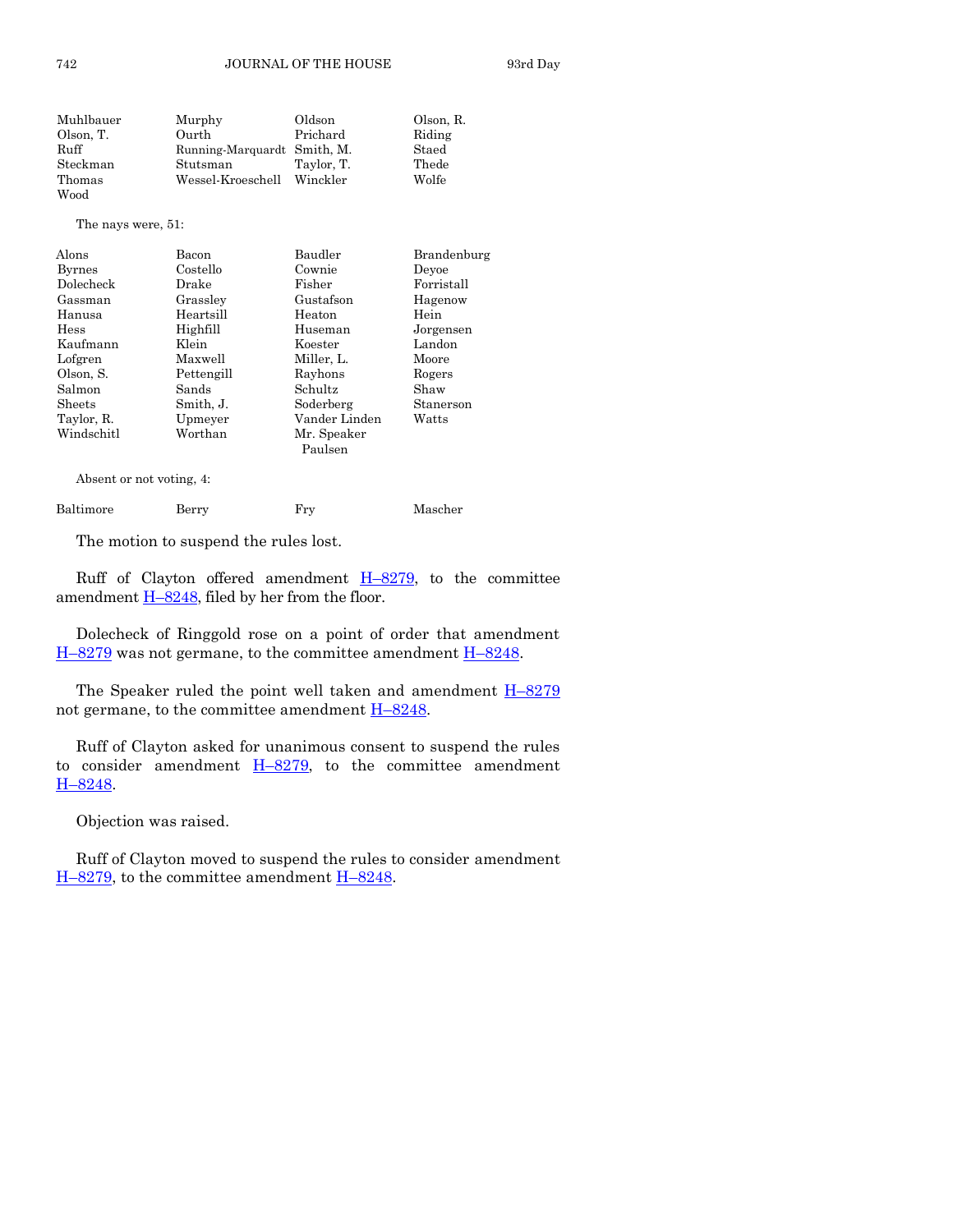| Muhlbauer | Murphy                      | Oldson     | Olson, R. |
|-----------|-----------------------------|------------|-----------|
| Olson. T. | Ourth                       | Prichard   | Riding    |
| Ruff      | Running-Marquardt Smith, M. |            | Staed     |
| Steckman  | Stutsman                    | Taylor, T. | Thede     |
| Thomas    | Wessel-Kroeschell           | Winckler   | Wolfe     |
| Wood      |                             |            |           |

The nays were, 51:

| Bacon      | Baudler       | Brandenburg |
|------------|---------------|-------------|
| Costello   | Cownie        | Devoe       |
| Drake      | Fisher        | Forristall  |
| Grassley   | Gustafson     | Hagenow     |
| Heartsill  | Heaton        | Hein        |
| Highfill   | Huseman       | Jorgensen   |
| Klein      | Koester       | Landon      |
| Maxwell    | Miller, L.    | Moore       |
| Pettengill | Rayhons       | Rogers      |
| Sands      | Schultz       | Shaw        |
| Smith, J.  | Soderberg     | Stanerson   |
| Upmeyer    | Vander Linden | Watts       |
| Worthan    | Mr. Speaker   |             |
|            | Paulsen       |             |
|            |               |             |

Absent or not voting, 4:

| Baltimore | Berry | Frv | Mascher |
|-----------|-------|-----|---------|
|           |       |     |         |

The motion to suspend the rules lost.

Ruff of Clayton offered amendment  $H-8279$ , to the committee amendment  $H-8248$ , filed by her from the floor.

Dolecheck of Ringgold rose on a point of order that amendment H–[8279](http://coolice.legis.iowa.gov/Cool-ICE/default.asp?Category=billinfo&Service=Billbook&frame=1&GA=85&hbill=H8279) was not germane, to the committee amendment H–[8248.](http://coolice.legis.iowa.gov/Cool-ICE/default.asp?Category=billinfo&Service=Billbook&frame=1&GA=85&hbill=H8248)

The Speaker ruled the point well taken and amendment  $H-8279$  $H-8279$ not germane, to the committee amendment  $H-8248$ .

Ruff of Clayton asked for unanimous consent to suspend the rules to consider amendment  $H-8279$ , to the committee amendment H–[8248.](http://coolice.legis.iowa.gov/Cool-ICE/default.asp?Category=billinfo&Service=Billbook&frame=1&GA=85&hbill=H8248)

Objection was raised.

Ruff of Clayton moved to suspend the rules to consider amendment H-[8279,](http://coolice.legis.iowa.gov/Cool-ICE/default.asp?Category=billinfo&Service=Billbook&frame=1&GA=85&hbill=H8279) to the committee amendment H-[8248.](http://coolice.legis.iowa.gov/Cool-ICE/default.asp?Category=billinfo&Service=Billbook&frame=1&GA=85&hbill=H8248)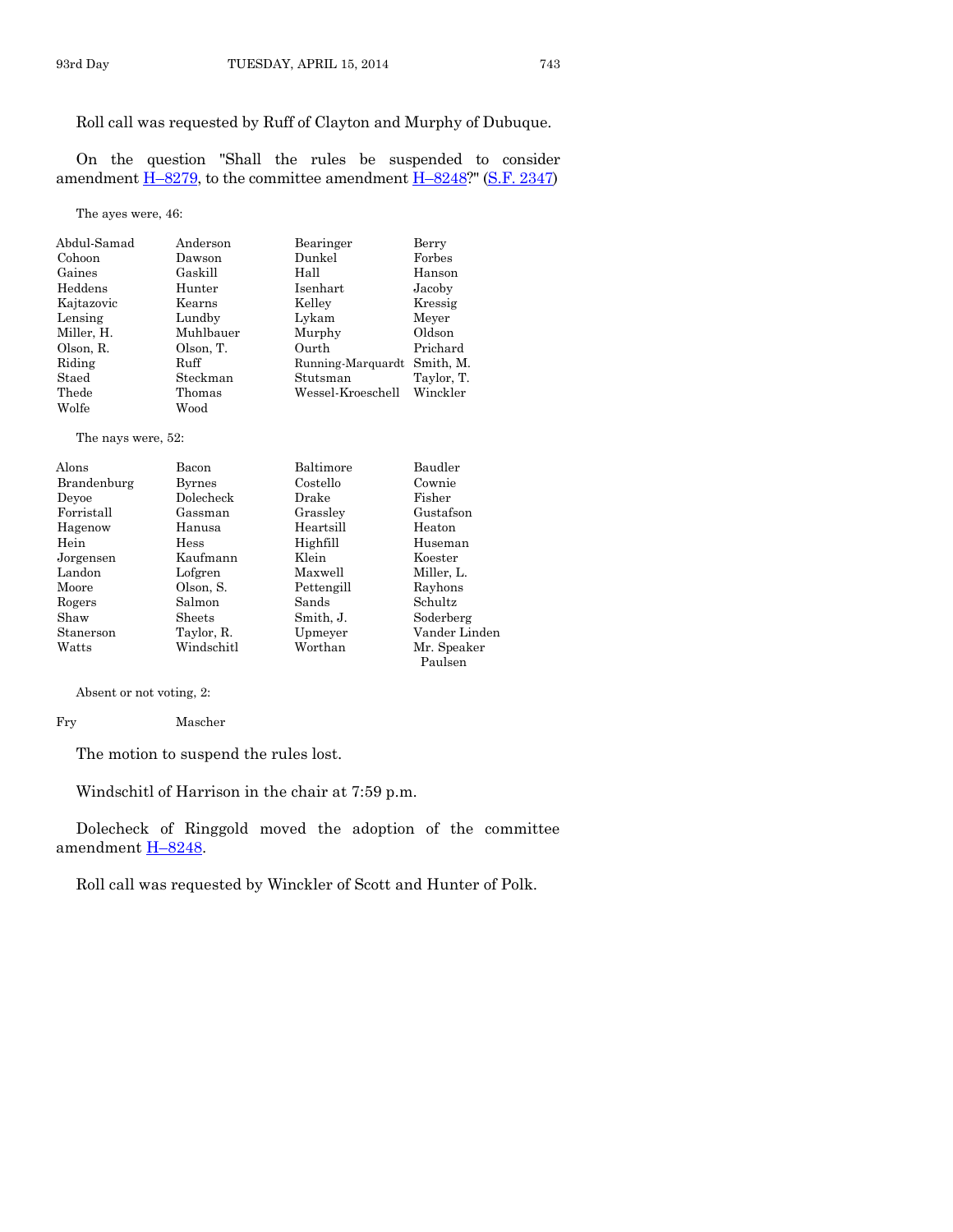Roll call was requested by Ruff of Clayton and Murphy of Dubuque.

On the question "Shall the rules be suspended to consider amendment  $\underline{H-8279}$ , to the committee amendment  $\underline{H-8248}$ ?" [\(S.F. 2347\)](http://coolice.legis.iowa.gov/Cool-ICE/default.asp?Category=billinfo&Service=Billbook&frame=1&GA=85&hbill=SF2347)

The ayes were, 46:

| Abdul-Samad | Anderson  | Bearinger         | Berry      |
|-------------|-----------|-------------------|------------|
| Cohoon      | Dawson    | Dunkel            | Forbes     |
| Gaines      | Gaskill   | Hall              | Hanson     |
| Heddens     | Hunter    | Isenhart          | Jacoby     |
| Kajtazovic  | Kearns    | Kelley            | Kressig    |
| Lensing     | Lundby    | Lykam             | Meyer      |
| Miller, H.  | Muhlbauer | Murphy            | Oldson     |
| Olson, R.   | Olson, T. | Ourth             | Prichard   |
| Riding      | Ruff      | Running-Marquardt | Smith, M.  |
| Staed       | Steckman  | Stutsman          | Taylor, T. |
| Thede       | Thomas    | Wessel-Kroeschell | Winckler   |
| Wolfe       | Wood      |                   |            |

The nays were, 52:

| Alons       | Bacon         | Baltimore  | Baudler       |
|-------------|---------------|------------|---------------|
| Brandenburg | <b>Byrnes</b> | Costello   | Cownie        |
| Devoe       | Dolecheck     | Drake      | Fisher        |
| Forristall  | Gassman       | Grassley   | Gustafson     |
| Hagenow     | Hanusa        | Heartsill  | Heaton        |
| Hein        | <b>Hess</b>   | Highfill   | Huseman       |
| Jorgensen   | Kaufmann      | Klein      | Koester       |
| Landon      | Lofgren       | Maxwell    | Miller, L.    |
| Moore       | Olson, S.     | Pettengill | Rayhons       |
| Rogers      | Salmon        | Sands      | Schultz       |
| Shaw        | Sheets        | Smith, J.  | Soderberg     |
| Stanerson   | Taylor, R.    | Upmeyer    | Vander Linden |
| Watts       | Windschitl    | Worthan    | Mr. Speaker   |
|             |               |            | Paulsen       |

Absent or not voting, 2:

Fry Mascher

The motion to suspend the rules lost.

Windschitl of Harrison in the chair at 7:59 p.m.

Dolecheck of Ringgold moved the adoption of the committee amendment H–[8248.](http://coolice.legis.iowa.gov/Cool-ICE/default.asp?Category=billinfo&Service=Billbook&frame=1&GA=85&hbill=H8248)

Roll call was requested by Winckler of Scott and Hunter of Polk.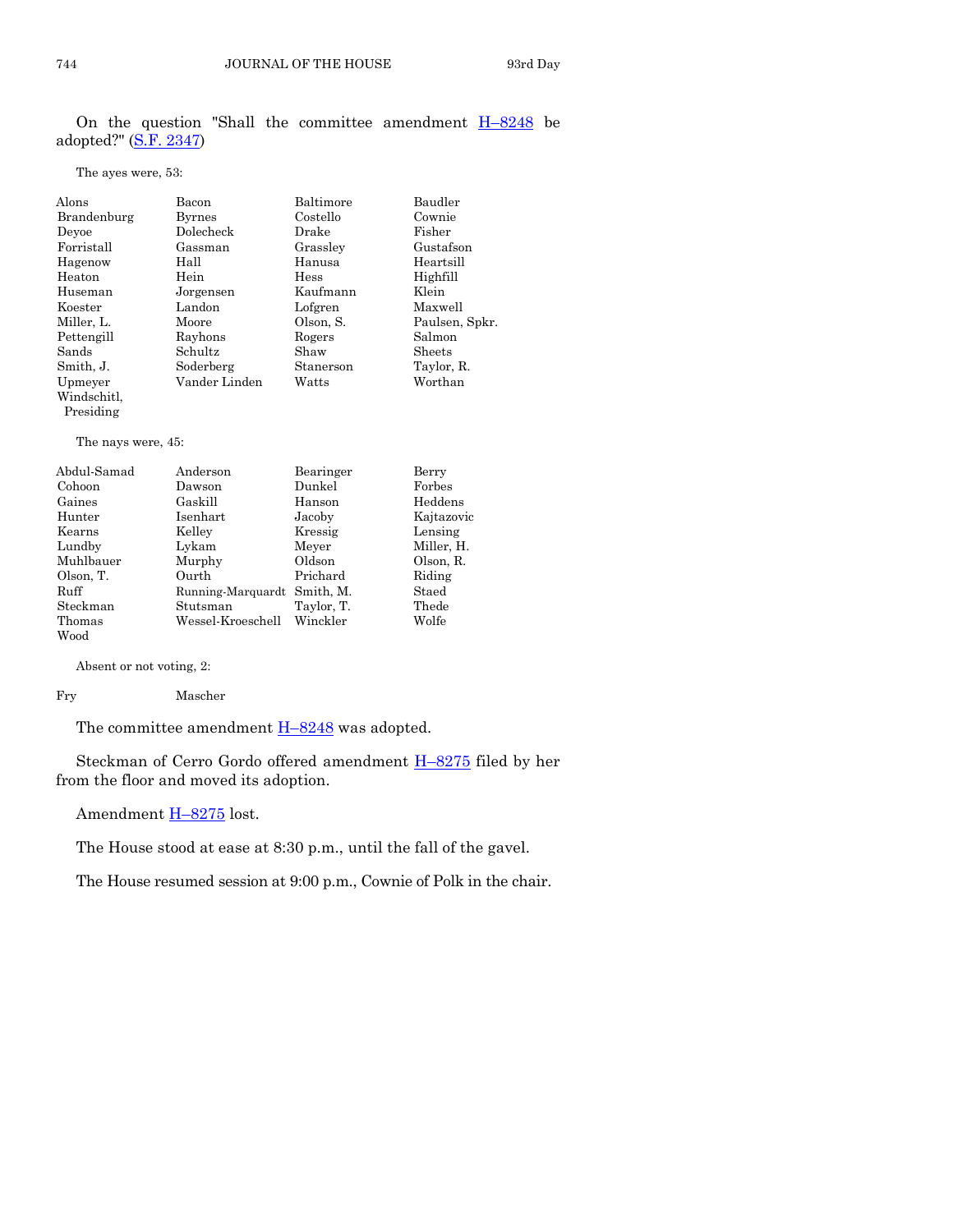|  |                       |  | On the question "Shall the committee amendment $H-8248$ be |  |
|--|-----------------------|--|------------------------------------------------------------|--|
|  | adopted?" (S.F. 2347) |  |                                                            |  |

The ayes were, 53:

| Alons       | Bacon         | Baltimore   | Baudler        |
|-------------|---------------|-------------|----------------|
| Brandenburg | <b>Byrnes</b> | Costello    | Cownie         |
| Devoe       | Dolecheck     | Drake       | Fisher         |
| Forristall  | Gassman       | Grassley    | Gustafson      |
| Hagenow     | Hall          | Hanusa      | Heartsill      |
| Heaton      | Hein          | <b>Hess</b> | Highfill       |
| Huseman     | Jorgensen     | Kaufmann    | Klein          |
| Koester     | Landon        | Lofgren     | Maxwell        |
| Miller, L.  | Moore         | Olson, S.   | Paulsen, Spkr. |
| Pettengill  | Rayhons       | Rogers      | Salmon         |
| Sands       | Schultz       | Shaw        | <b>Sheets</b>  |
| Smith, J.   | Soderberg     | Stanerson   | Taylor, R.     |
| Upmeyer     | Vander Linden | Watts       | Worthan        |
| Windschitl. |               |             |                |
| Presiding   |               |             |                |

The nays were, 45:

| Abdul-Samad | Anderson          | Bearinger  | Berry      |
|-------------|-------------------|------------|------------|
| Cohoon      | Dawson            | Dunkel     | Forbes     |
| Gaines      | Gaskill           | Hanson     | Heddens    |
| Hunter      | Isenhart          | Jacoby     | Kajtazovic |
| Kearns      | Kelley            | Kressig    | Lensing    |
| Lundby      | Lykam             | Meyer      | Miller, H. |
| Muhlbauer   | Murphy            | Oldson     | Olson, R.  |
| Olson, T.   | Ourth             | Prichard   | Riding     |
| Ruff        | Running-Marquardt | Smith. M.  | Staed      |
| Steckman    | Stutsman          | Taylor, T. | Thede      |
| Thomas      | Wessel-Kroeschell | Winckler   | Wolfe      |
| Wood        |                   |            |            |

Absent or not voting, 2:

#### Fry Mascher

The committee amendment  $H-8248$  $H-8248$  was adopted.

Steckman of Cerro Gordo offered amendment H–[8275](http://coolice.legis.iowa.gov/Cool-ICE/default.asp?Category=billinfo&Service=Billbook&frame=1&GA=85&hbill=H8275) filed by her from the floor and moved its adoption.

Amendment H–[8275](http://coolice.legis.iowa.gov/Cool-ICE/default.asp?Category=billinfo&Service=Billbook&frame=1&GA=85&hbill=H8275) lost.

The House stood at ease at 8:30 p.m., until the fall of the gavel.

The House resumed session at 9:00 p.m., Cownie of Polk in the chair.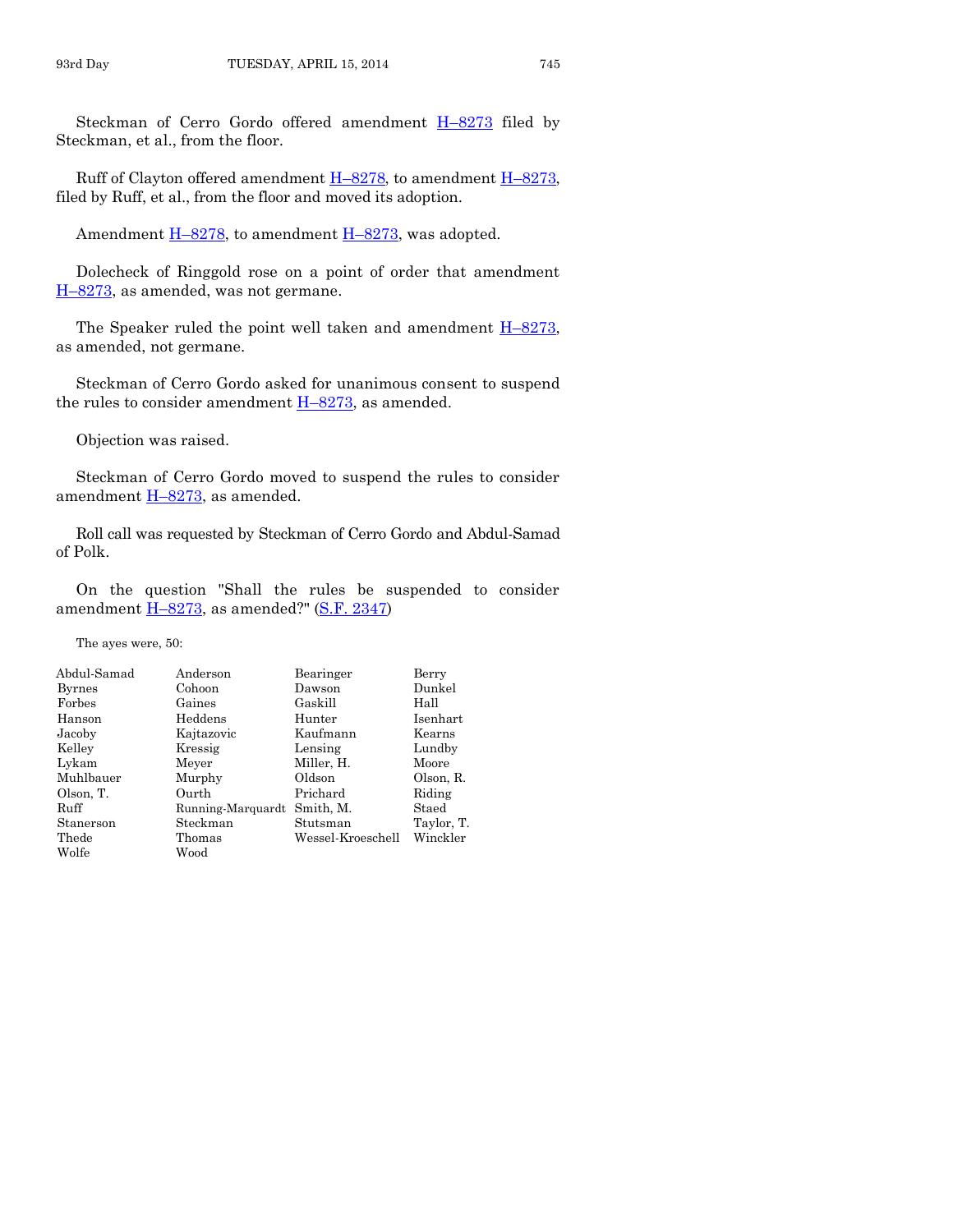Steckman of Cerro Gordo offered amendment H–[8273](http://coolice.legis.iowa.gov/Cool-ICE/default.asp?Category=billinfo&Service=Billbook&frame=1&GA=85&hbill=H8273) filed by Steckman, et al., from the floor.

Ruff of Clayton offered amendment  $H-8278$ , to amendment  $H-8273$ , filed by Ruff, et al., from the floor and moved its adoption.

Amendment  $H-8278$ , to amendment  $H-8273$ , was adopted.

Dolecheck of Ringgold rose on a point of order that amendment H–[8273,](http://coolice.legis.iowa.gov/Cool-ICE/default.asp?Category=billinfo&Service=Billbook&frame=1&GA=85&hbill=H8273) as amended, was not germane.

The Speaker ruled the point well taken and amendment  $H-8273$ , as amended, not germane.

Steckman of Cerro Gordo asked for unanimous consent to suspend the rules to consider amendment  $H-8273$ , as amended.

Objection was raised.

Steckman of Cerro Gordo moved to suspend the rules to consider amendment  $H-8273$ , as amended.

Roll call was requested by Steckman of Cerro Gordo and Abdul-Samad of Polk.

On the question "Shall the rules be suspended to consider amendment  $H-8273$ , as amended?" [\(S.F. 2347\)](http://coolice.legis.iowa.gov/Cool-ICE/default.asp?Category=billinfo&Service=Billbook&frame=1&GA=85&hbill=SF2347)

The ayes were, 50:

| Abdul-Samad   | Anderson          | Bearinger         | Berry      |
|---------------|-------------------|-------------------|------------|
| <b>Byrnes</b> | Cohoon            | Dawson            | Dunkel     |
| Forbes        | Gaines            | Gaskill           | Hall       |
| Hanson        | Heddens           | Hunter            | Isenhart   |
| Jacoby        | Kajtazovic        | Kaufmann          | Kearns     |
| Kelley        | Kressig           | Lensing           | Lundby     |
| Lykam         | Meyer             | Miller, H.        | Moore      |
| Muhlbauer     | Murphy            | Oldson            | Olson, R.  |
| Olson, T.     | Ourth             | Prichard          | Riding     |
| Ruff          | Running-Marquardt | Smith, M.         | Staed      |
| Stanerson     | Steckman          | Stutsman          | Taylor, T. |
| Thede         | Thomas            | Wessel-Kroeschell | Winckler   |
| Wolfe         | Wood              |                   |            |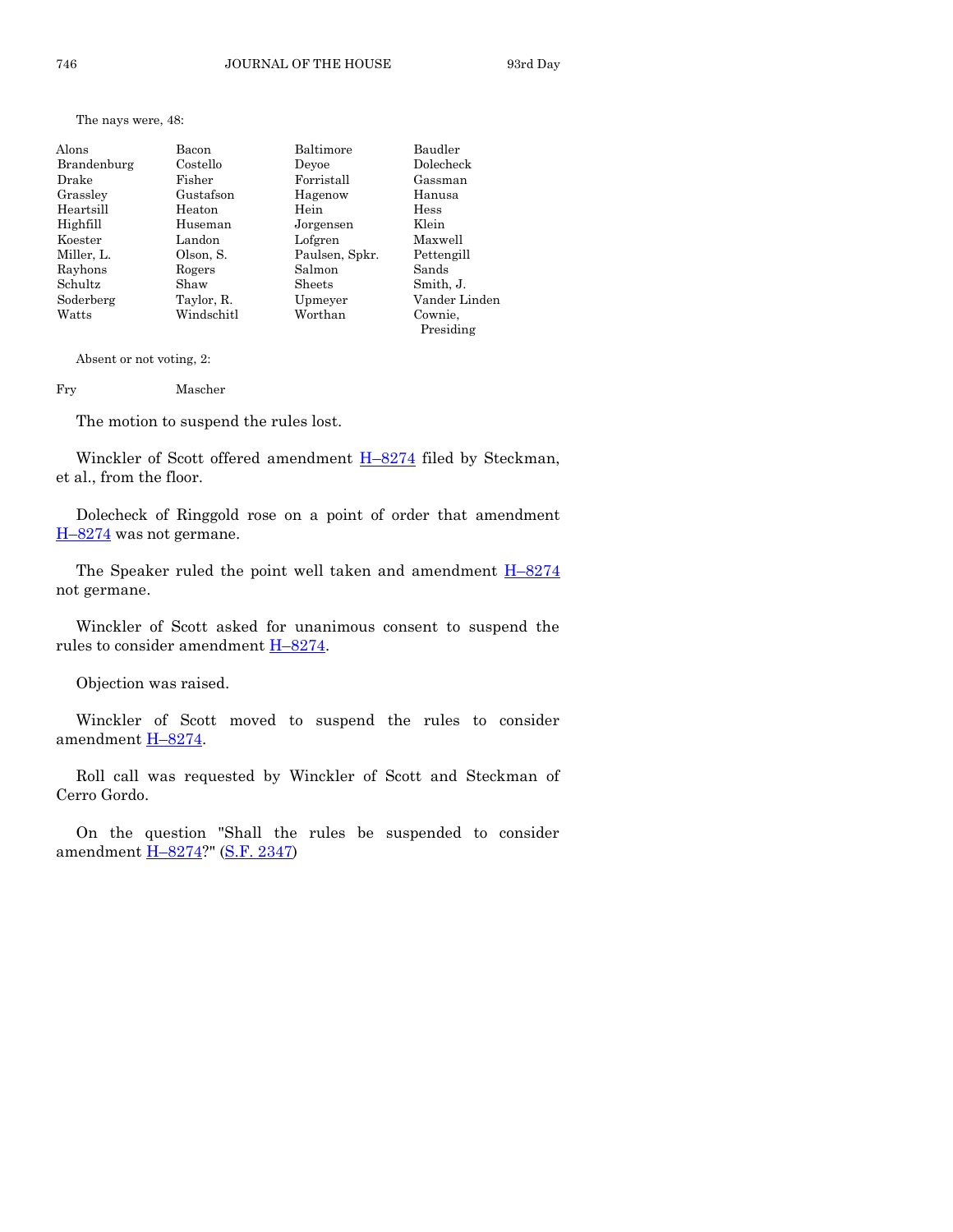The nays were, 48:

| Alons       | Bacon      | Baltimore      | Baudler              |
|-------------|------------|----------------|----------------------|
| Brandenburg | Costello   | Devoe          | Dolecheck            |
| Drake       | Fisher     | Forristall     | Gassman              |
| Grassley    | Gustafson  | Hagenow        | Hanusa               |
| Heartsill   | Heaton     | Hein           | Hess                 |
| Highfill    | Huseman    | Jorgensen      | Klein                |
| Koester     | Landon     | Lofgren        | Maxwell              |
| Miller, L.  | Olson, S.  | Paulsen, Spkr. | Pettengill           |
| Rayhons     | Rogers     | Salmon         | Sands                |
| Schultz     | Shaw       | Sheets         | Smith, J.            |
| Soderberg   | Taylor, R. | Upmeyer        | Vander Linden        |
| Watts       | Windschitl | Worthan        | Cownie,<br>Presiding |

Absent or not voting, 2:

Fry Mascher

The motion to suspend the rules lost.

Winckler of Scott offered amendment **H**–[8274](http://coolice.legis.iowa.gov/Cool-ICE/default.asp?Category=billinfo&Service=Billbook&frame=1&GA=85&hbill=H8274) filed by Steckman, et al., from the floor.

Dolecheck of Ringgold rose on a point of order that amendment H–[8274](http://coolice.legis.iowa.gov/Cool-ICE/default.asp?Category=billinfo&Service=Billbook&frame=1&GA=85&hbill=H8274) was not germane.

The Speaker ruled the point well taken and amendment  $H-8274$  $H-8274$ not germane.

Winckler of Scott asked for unanimous consent to suspend the rules to consider amendment H–[8274.](http://coolice.legis.iowa.gov/Cool-ICE/default.asp?Category=billinfo&Service=Billbook&frame=1&GA=85&hbill=H8274)

Objection was raised.

Winckler of Scott moved to suspend the rules to consider amendment H–[8274.](http://coolice.legis.iowa.gov/Cool-ICE/default.asp?Category=billinfo&Service=Billbook&frame=1&GA=85&hbill=H8274)

Roll call was requested by Winckler of Scott and Steckman of Cerro Gordo.

On the question "Shall the rules be suspended to consider amendment H–[8274?](http://coolice.legis.iowa.gov/Cool-ICE/default.asp?Category=billinfo&Service=Billbook&frame=1&GA=85&hbill=H8274)" [\(S.F. 2347\)](http://coolice.legis.iowa.gov/Cool-ICE/default.asp?Category=billinfo&Service=Billbook&frame=1&GA=85&hbill=SF2347)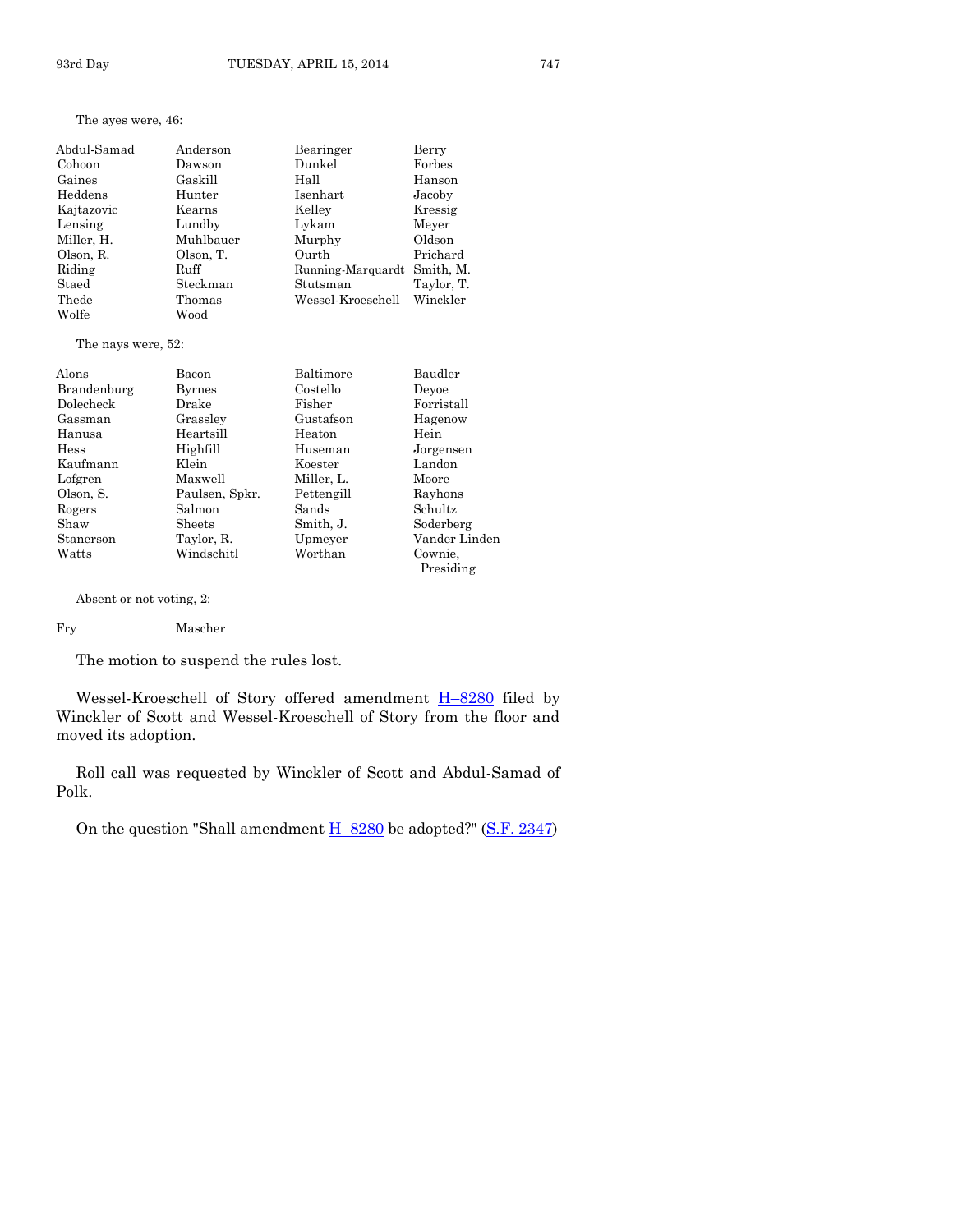# The ayes were, 46:

| Abdul-Samad | Anderson  | Bearinger         | Berry      |
|-------------|-----------|-------------------|------------|
| Cohoon      | Dawson    | Dunkel            | Forbes     |
| Gaines      | Gaskill   | Hall              | Hanson     |
| Heddens     | Hunter    | Isenhart          | Jacoby     |
| Kajtazovic  | Kearns    | Kelley            | Kressig    |
| Lensing     | Lundby    | Lykam             | Meyer      |
| Miller, H.  | Muhlbauer | Murphy            | Oldson     |
| Olson, R.   | Olson, T. | Ourth             | Prichard   |
| Riding      | Ruff      | Running-Marquardt | Smith, M.  |
| Staed       | Steckman  | Stutsman          | Taylor, T. |
| Thede       | Thomas    | Wessel-Kroeschell | Winckler   |
| Wolfe       | Wood      |                   |            |

#### The nays were, 52:

| Alons       | Bacon          | Baltimore  | Baudler       |
|-------------|----------------|------------|---------------|
| Brandenburg | <b>Byrnes</b>  | Costello   | Devoe         |
| Dolecheck   | Drake          | Fisher     | Forristall    |
| Gassman     | Grassley       | Gustafson  | Hagenow       |
| Hanusa      | Heartsill      | Heaton     | Hein          |
| Hess        | Highfill       | Huseman    | Jorgensen     |
| Kaufmann    | Klein          | Koester    | Landon        |
| Lofgren     | Maxwell        | Miller, L. | Moore         |
| Olson, S.   | Paulsen, Spkr. | Pettengill | Rayhons       |
| Rogers      | Salmon         | Sands      | Schultz       |
| Shaw        | <b>Sheets</b>  | Smith, J.  | Soderberg     |
| Stanerson   | Taylor, R.     | Upmeyer    | Vander Linden |
| Watts       | Windschitl     | Worthan    | Cownie.       |
|             |                |            | Presiding     |

Absent or not voting, 2:

#### Fry Mascher

The motion to suspend the rules lost.

Wessel-Kroeschell of Story offered amendment **H-[8280](http://coolice.legis.iowa.gov/Cool-ICE/default.asp?Category=billinfo&Service=Billbook&frame=1&GA=85&hbill=H8280)** filed by Winckler of Scott and Wessel-Kroeschell of Story from the floor and moved its adoption.

Roll call was requested by Winckler of Scott and Abdul-Samad of Polk.

On the question "Shall amendment  $H-8280$  $H-8280$  be adopted?" [\(S.F. 2347\)](http://coolice.legis.iowa.gov/Cool-ICE/default.asp?Category=billinfo&Service=Billbook&frame=1&GA=85&hbill=SF2347)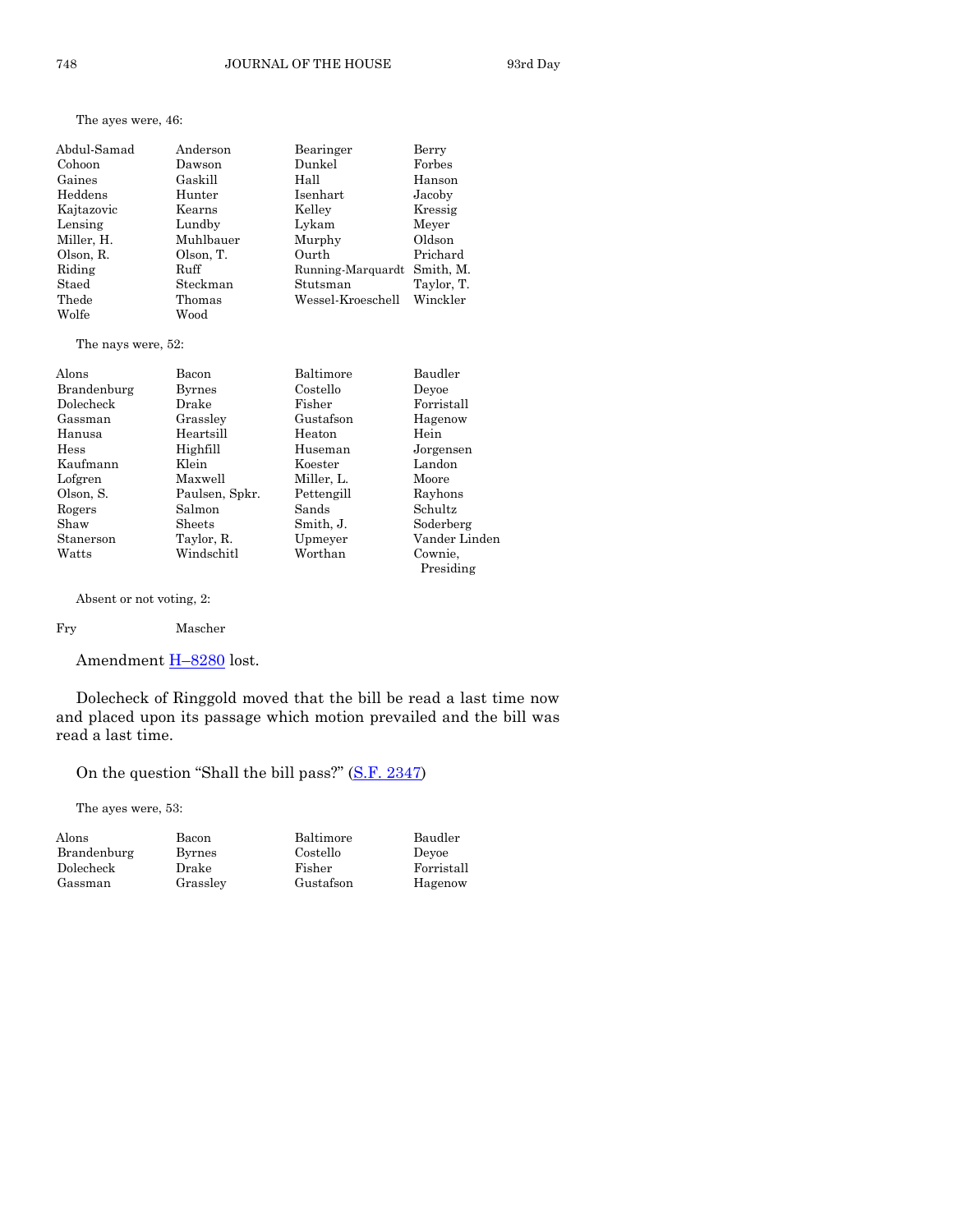# The ayes were, 46:

| Abdul-Samad | Anderson  | Bearinger         | Berry      |
|-------------|-----------|-------------------|------------|
| Cohoon      | Dawson    | Dunkel            | Forbes     |
| Gaines      | Gaskill   | Hall              | Hanson     |
| Heddens     | Hunter    | Isenhart          | Jacoby     |
| Kajtazovic  | Kearns    | Kelley            | Kressig    |
| Lensing     | Lundby    | Lykam             | Meyer      |
| Miller, H.  | Muhlbauer | Murphy            | Oldson     |
| Olson, R.   | Olson, T. | Ourth             | Prichard   |
| Riding      | Ruff      | Running-Marquardt | Smith, M.  |
| Staed       | Steckman  | Stutsman          | Taylor, T. |
| Thede       | Thomas    | Wessel-Kroeschell | Winckler   |
| Wolfe       | Wood      |                   |            |

#### The nays were, 52:

| Alons       | Bacon          | Baltimore  | Baudler       |
|-------------|----------------|------------|---------------|
| Brandenburg | Byrnes         | Costello   | Devoe         |
| Dolecheck   | Drake          | Fisher     | Forristall    |
| Gassman     | Grassley       | Gustafson  | Hagenow       |
| Hanusa      | Heartsill      | Heaton     | Hein          |
| Hess        | Highfill       | Huseman    | Jorgensen     |
| Kaufmann    | Klein          | Koester    | Landon        |
| Lofgren     | Maxwell        | Miller, L. | Moore         |
| Olson, S.   | Paulsen, Spkr. | Pettengill | Rayhons       |
| Rogers      | Salmon         | Sands      | Schultz       |
| Shaw        | Sheets         | Smith, J.  | Soderberg     |
| Stanerson   | Taylor, R.     | Upmeyer    | Vander Linden |
| Watts       | Windschitl     | Worthan    | Cownie.       |
|             |                |            | Presiding     |

Absent or not voting, 2:

#### Fry Mascher

# Amendment **H-[8280](http://coolice.legis.iowa.gov/Cool-ICE/default.asp?Category=billinfo&Service=Billbook&frame=1&GA=85&hbill=H8280)** lost.

Dolecheck of Ringgold moved that the bill be read a last time now and placed upon its passage which motion prevailed and the bill was read a last time.

# On the question "Shall the bill pass?" ([S.F. 2347\)](http://coolice.legis.iowa.gov/Cool-ICE/default.asp?Category=billinfo&Service=Billbook&frame=1&GA=85&hbill=SF2347)

The ayes were, 53:

| Alons       | Bacon         | Baltimore | Baudler    |
|-------------|---------------|-----------|------------|
| Brandenburg | <b>Byrnes</b> | Costello  | Devoe      |
| Dolecheck   | Drake         | Fisher    | Forristall |
| Gassman     | Grassley      | Gustafson | Hagenow    |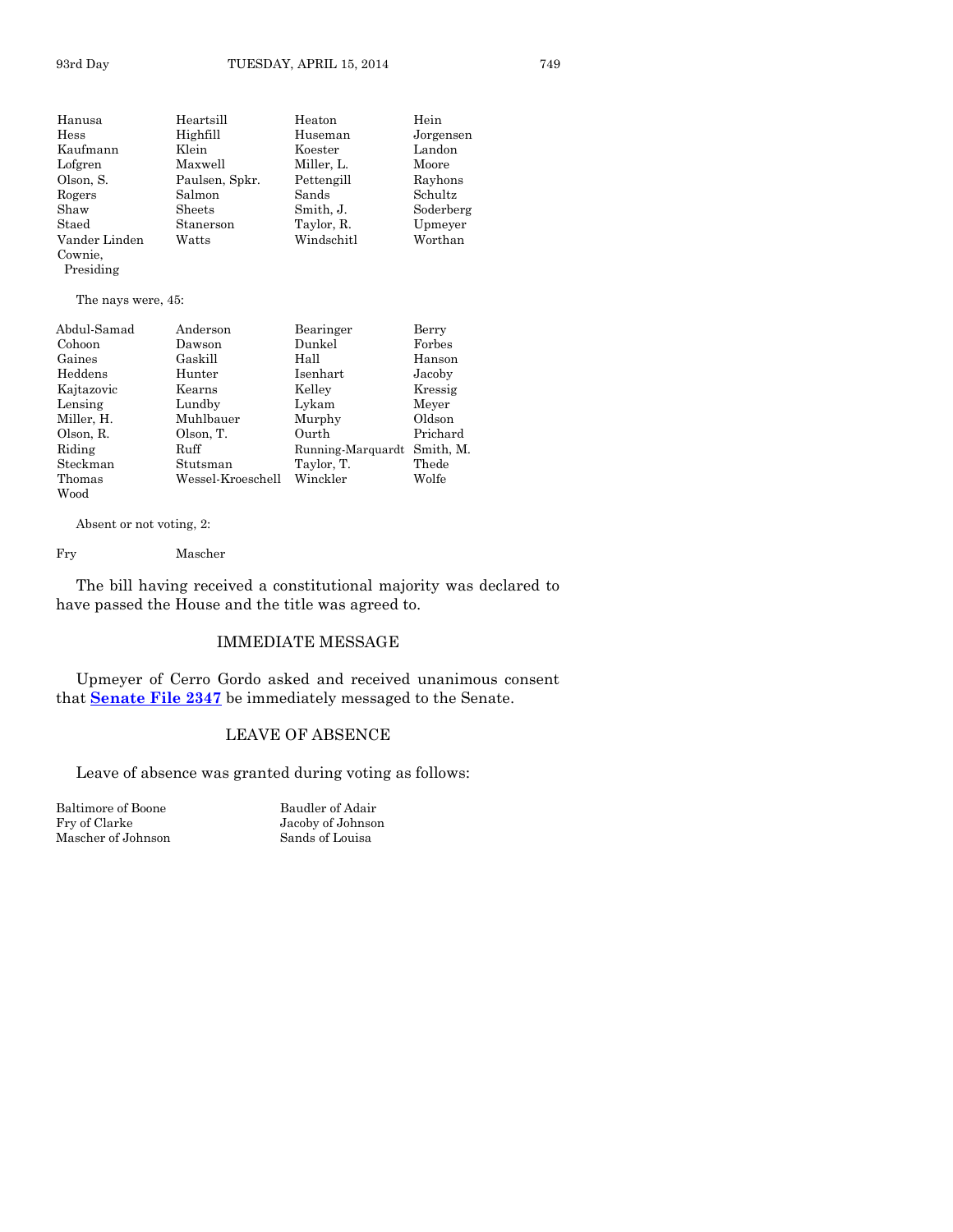| Hanusa        | Heartsill      | Heaton     | Hein      |
|---------------|----------------|------------|-----------|
| Hess          | Highfill       | Huseman    | Jorgensen |
| Kaufmann      | Klein          | Koester    | Landon    |
| Lofgren       | Maxwell        | Miller, L. | Moore     |
| Olson, S.     | Paulsen, Spkr. | Pettengill | Rayhons   |
| Rogers        | Salmon         | Sands      | Schultz   |
| Shaw          | Sheets         | Smith, J.  | Soderberg |
| Staed         | Stanerson      | Taylor, R. | Upmeyer   |
| Vander Linden | Watts          | Windschitl | Worthan   |
| Cownie,       |                |            |           |

Presiding

The nays were, 45:

| Abdul-Samad | Anderson          | Bearinger         | Berry     |
|-------------|-------------------|-------------------|-----------|
| Cohoon      | Dawson            | Dunkel            | Forbes    |
| Gaines      | Gaskill           | Hall              | Hanson    |
| Heddens     | Hunter            | Isenhart          | Jacoby    |
| Kajtazovic  | Kearns            | Kelley            | Kressig   |
| Lensing     | Lundby            | Lykam             | Meyer     |
| Miller, H.  | Muhlbauer         | Murphy            | Oldson    |
| Olson, R.   | Olson, T.         | Ourth             | Prichard  |
| Riding      | Ruff              | Running-Marquardt | Smith, M. |
| Steckman    | Stutsman          | Taylor, T.        | Thede     |
| Thomas      | Wessel-Kroeschell | Winckler          | Wolfe     |
| Wood        |                   |                   |           |

Absent or not voting, 2:

Fry Mascher

The bill having received a constitutional majority was declared to have passed the House and the title was agreed to.

# IMMEDIATE MESSAGE

Upmeyer of Cerro Gordo asked and received unanimous consent that **[Senate File 2347](http://coolice.legis.iowa.gov/Cool-ICE/default.asp?Category=billinfo&Service=Billbook&frame=1&GA=85&hbill=SF2347)** be immediately messaged to the Senate.

# LEAVE OF ABSENCE

Leave of absence was granted during voting as follows:

Baltimore of Boone Baudler of Adair<br>Fry of Clarke Baudler of Johnson Mascher of Johnson

Jacoby of Johnson<br>Sands of Louisa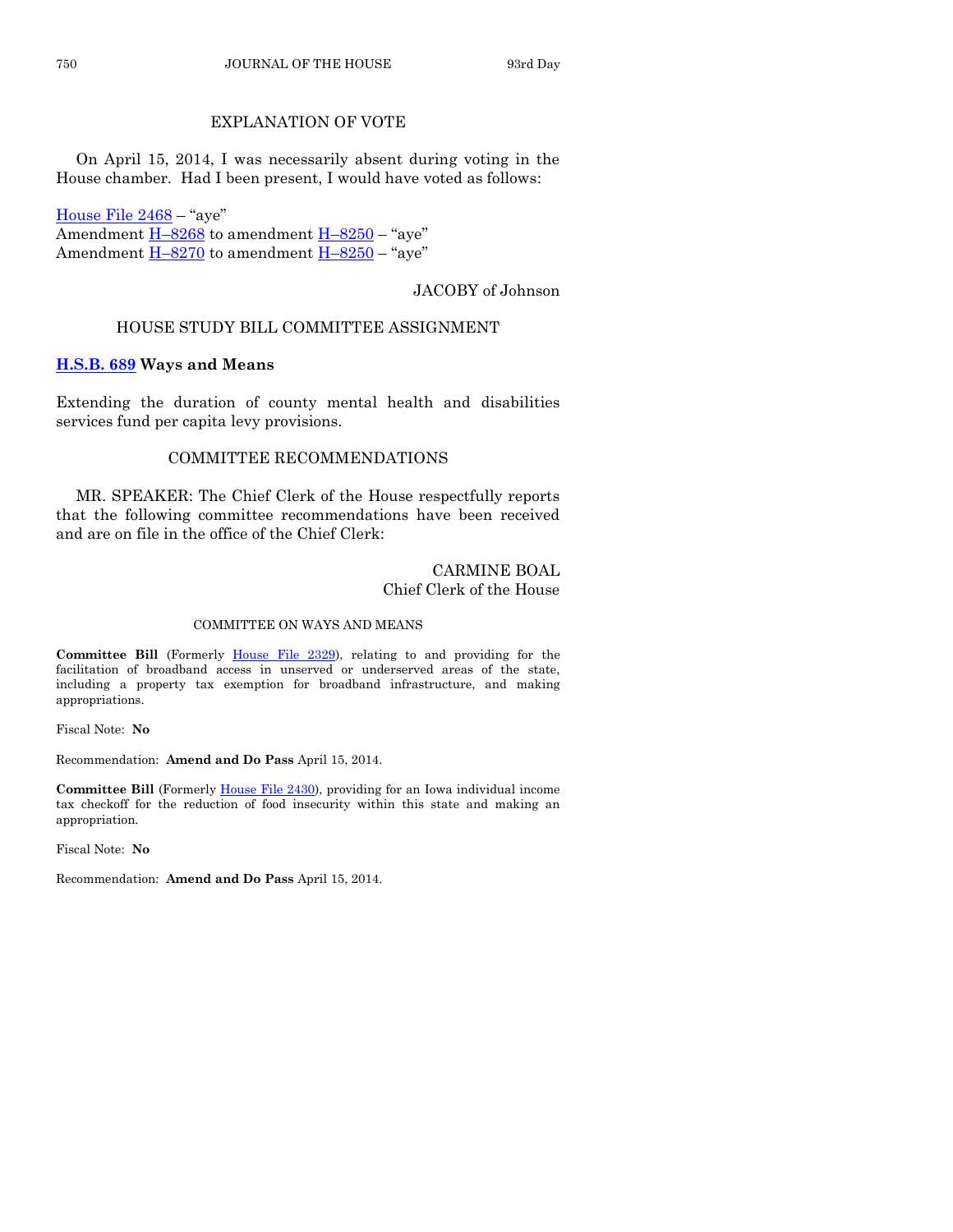# EXPLANATION OF VOTE

On April 15, 2014, I was necessarily absent during voting in the House chamber. Had I been present, I would have voted as follows:

[House File 2468](http://coolice.legis.iowa.gov/Cool-ICE/default.asp?Category=billinfo&Service=Billbook&frame=1&GA=85&hbill=HF2468) – "aye" Amendment H–[8268](http://coolice.legis.iowa.gov/Cool-ICE/default.asp?Category=billinfo&Service=Billbook&frame=1&GA=85&hbill=H8268) to amendment H–[8250](http://coolice.legis.iowa.gov/Cool-ICE/default.asp?Category=billinfo&Service=Billbook&frame=1&GA=85&hbill=H8250) – "aye" Amendment  $H-8270$  $H-8270$  to amendment  $H-8250$  $H-8250$  – "aye"

# JACOBY of Johnson

# HOUSE STUDY BILL COMMITTEE ASSIGNMENT

# **[H.S.B. 689](http://coolice.legis.iowa.gov/Cool-ICE/default.asp?Category=billinfo&Service=Billbook&frame=1&GA=85&hbill=HSB689) Ways and Means**

Extending the duration of county mental health and disabilities services fund per capita levy provisions.

# COMMITTEE RECOMMENDATIONS

MR. SPEAKER: The Chief Clerk of the House respectfully reports that the following committee recommendations have been received and are on file in the office of the Chief Clerk:

# CARMINE BOAL Chief Clerk of the House

### COMMITTEE ON WAYS AND MEANS

**Committee Bill** (Formerly [House File 2329\)](http://coolice.legis.iowa.gov/Cool-ICE/default.asp?Category=billinfo&Service=Billbook&frame=1&GA=85&hbill=HF2329), relating to and providing for the facilitation of broadband access in unserved or underserved areas of the state, including a property tax exemption for broadband infrastructure, and making appropriations.

Fiscal Note: **No**

Recommendation: **Amend and Do Pass** April 15, 2014.

**Committee Bill** (Formerly [House File 2430\)](http://coolice.legis.iowa.gov/Cool-ICE/default.asp?Category=billinfo&Service=Billbook&frame=1&GA=85&hbill=HF2430), providing for an Iowa individual income tax checkoff for the reduction of food insecurity within this state and making an appropriation.

Fiscal Note: **No**

Recommendation: **Amend and Do Pass** April 15, 2014.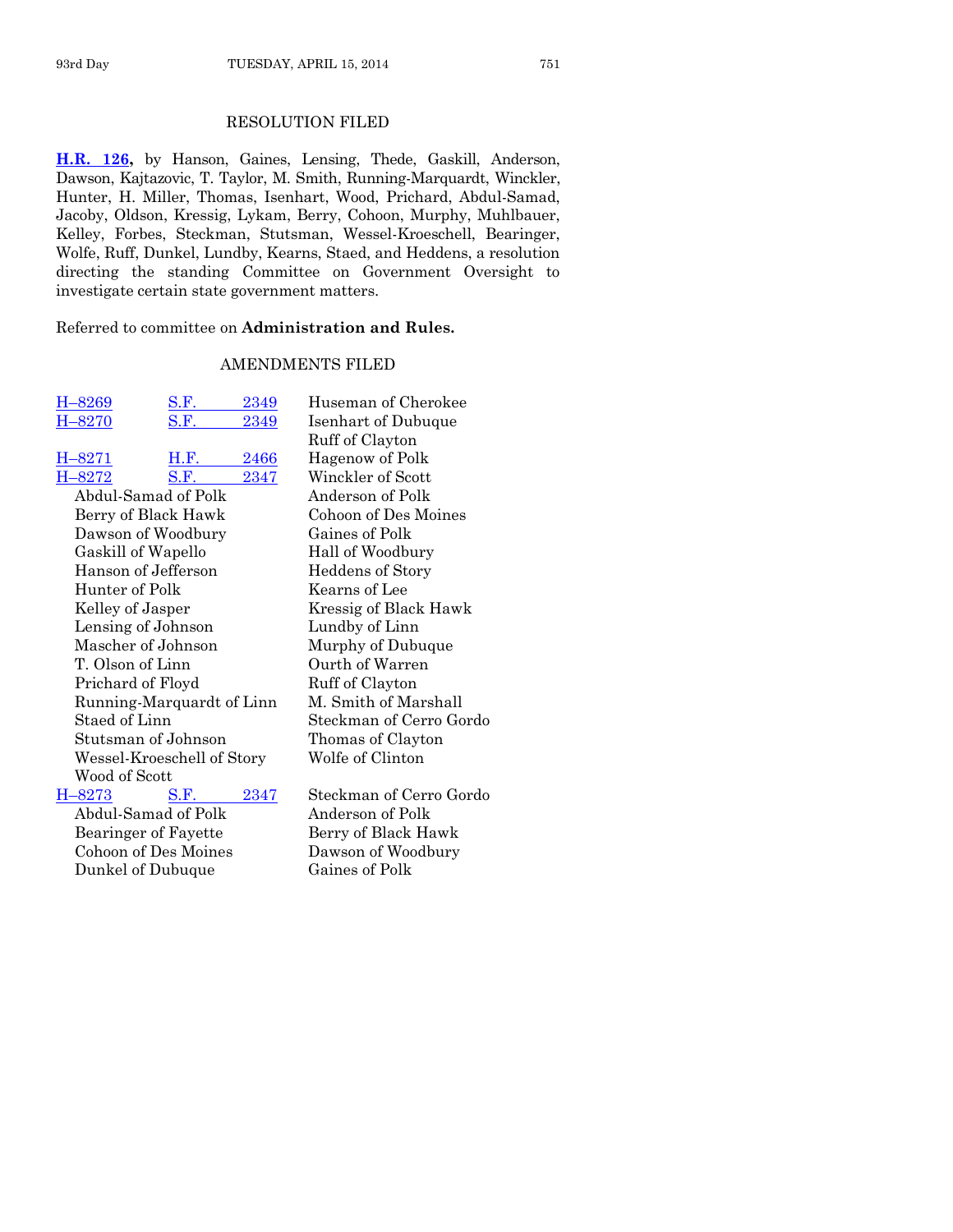# RESOLUTION FILED

**[H.R. 126,](http://coolice.legis.iowa.gov/Cool-ICE/default.asp?Category=billinfo&Service=Billbook&frame=1&GA=85&hbill=HR126)** by Hanson, Gaines, Lensing, Thede, Gaskill, Anderson, Dawson, Kajtazovic, T. Taylor, M. Smith, Running-Marquardt, Winckler, Hunter, H. Miller, Thomas, Isenhart, Wood, Prichard, Abdul-Samad, Jacoby, Oldson, Kressig, Lykam, Berry, Cohoon, Murphy, Muhlbauer, Kelley, Forbes, Steckman, Stutsman, Wessel-Kroeschell, Bearinger, Wolfe, Ruff, Dunkel, Lundby, Kearns, Staed, and Heddens, a resolution directing the standing Committee on Government Oversight to investigate certain state government matters.

Referred to committee on **Administration and Rules.**

# AMENDMENTS FILED

| H–8269     | <u>S.F.</u>                | 2349 | Huseman of Cherokee     |
|------------|----------------------------|------|-------------------------|
| $H - 8270$ | <u>S.F.</u>                | 2349 | Isenhart of Dubuque     |
|            |                            |      | Ruff of Clayton         |
| H-8271     | H.F.                       | 2466 | Hagenow of Polk         |
| H-8272     | S.F.                       | 2347 | Winckler of Scott       |
|            | Abdul-Samad of Polk        |      | Anderson of Polk        |
|            | Berry of Black Hawk        |      | Cohoon of Des Moines    |
|            | Dawson of Woodbury         |      | Gaines of Polk          |
|            | Gaskill of Wapello         |      | Hall of Woodbury        |
|            | Hanson of Jefferson        |      | Heddens of Story        |
|            | Hunter of Polk             |      | Kearns of Lee           |
|            | Kelley of Jasper           |      | Kressig of Black Hawk   |
|            | Lensing of Johnson         |      | Lundby of Linn          |
|            | Mascher of Johnson         |      | Murphy of Dubuque       |
|            | T. Olson of Linn           |      | Ourth of Warren         |
|            | Prichard of Floyd          |      | Ruff of Clayton         |
|            | Running-Marquardt of Linn  |      | M. Smith of Marshall    |
|            | Staed of Linn              |      | Steckman of Cerro Gordo |
|            | Stutsman of Johnson        |      | Thomas of Clayton       |
|            | Wessel-Kroeschell of Story |      | Wolfe of Clinton        |
|            | Wood of Scott              |      |                         |
| H–8273     | S.F.                       | 2347 | Steckman of Cerro Gordo |
|            | Abdul-Samad of Polk        |      | Anderson of Polk        |
|            | Bearinger of Fayette       |      | Berry of Black Hawk     |
|            | Cohoon of Des Moines       |      | Dawson of Woodbury      |
|            | Dunkel of Dubuque          |      | Gaines of Polk          |
|            |                            |      |                         |
|            |                            |      |                         |